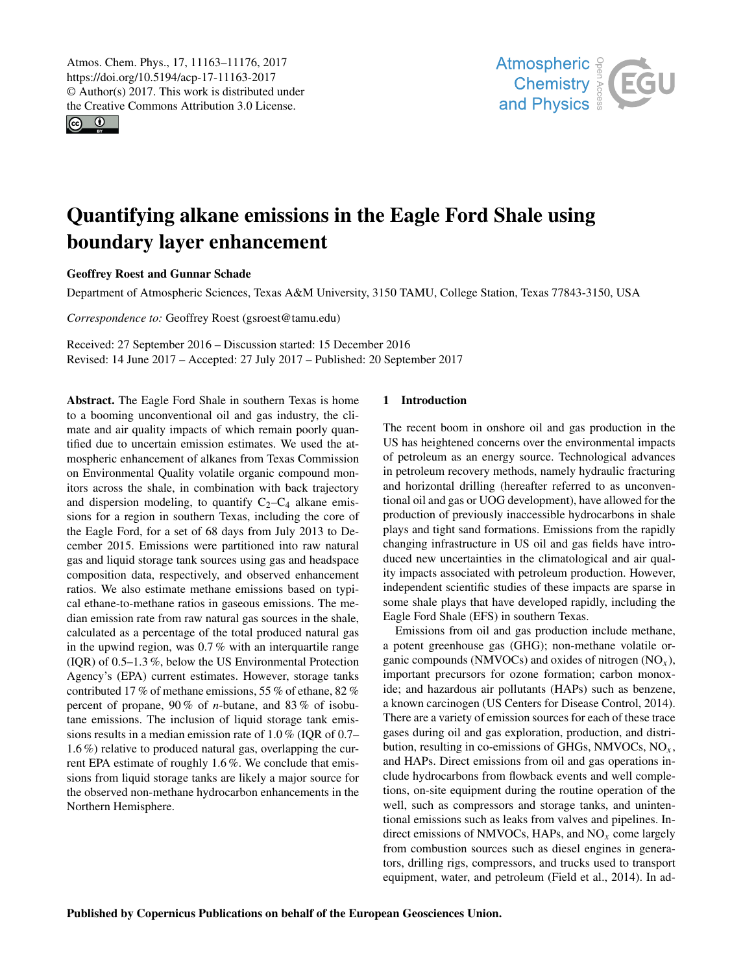<span id="page-0-0"></span>Atmos. Chem. Phys., 17, 11163–11176, 2017 https://doi.org/10.5194/acp-17-11163-2017 © Author(s) 2017. This work is distributed under the Creative Commons Attribution 3.0 License.

 $\circ$   $\circ$ 



# Quantifying alkane emissions in the Eagle Ford Shale using boundary layer enhancement

# Geoffrey Roest and Gunnar Schade

Department of Atmospheric Sciences, Texas A&M University, 3150 TAMU, College Station, Texas 77843-3150, USA

*Correspondence to:* Geoffrey Roest (gsroest@tamu.edu)

Received: 27 September 2016 – Discussion started: 15 December 2016 Revised: 14 June 2017 – Accepted: 27 July 2017 – Published: 20 September 2017

Abstract. The Eagle Ford Shale in southern Texas is home to a booming unconventional oil and gas industry, the climate and air quality impacts of which remain poorly quantified due to uncertain emission estimates. We used the atmospheric enhancement of alkanes from Texas Commission on Environmental Quality volatile organic compound monitors across the shale, in combination with back trajectory and dispersion modeling, to quantify  $C_2-C_4$  alkane emissions for a region in southern Texas, including the core of the Eagle Ford, for a set of 68 days from July 2013 to December 2015. Emissions were partitioned into raw natural gas and liquid storage tank sources using gas and headspace composition data, respectively, and observed enhancement ratios. We also estimate methane emissions based on typical ethane-to-methane ratios in gaseous emissions. The median emission rate from raw natural gas sources in the shale, calculated as a percentage of the total produced natural gas in the upwind region, was 0.7 % with an interquartile range (IQR) of 0.5–1.3 %, below the US Environmental Protection Agency's (EPA) current estimates. However, storage tanks contributed 17 % of methane emissions, 55 % of ethane, 82 % percent of propane, 90 % of *n*-butane, and 83 % of isobutane emissions. The inclusion of liquid storage tank emissions results in a median emission rate of 1.0 % (IQR of 0.7– 1.6 %) relative to produced natural gas, overlapping the current EPA estimate of roughly 1.6 %. We conclude that emissions from liquid storage tanks are likely a major source for the observed non-methane hydrocarbon enhancements in the Northern Hemisphere.

# 1 Introduction

The recent boom in onshore oil and gas production in the US has heightened concerns over the environmental impacts of petroleum as an energy source. Technological advances in petroleum recovery methods, namely hydraulic fracturing and horizontal drilling (hereafter referred to as unconventional oil and gas or UOG development), have allowed for the production of previously inaccessible hydrocarbons in shale plays and tight sand formations. Emissions from the rapidly changing infrastructure in US oil and gas fields have introduced new uncertainties in the climatological and air quality impacts associated with petroleum production. However, independent scientific studies of these impacts are sparse in some shale plays that have developed rapidly, including the Eagle Ford Shale (EFS) in southern Texas.

Emissions from oil and gas production include methane, a potent greenhouse gas (GHG); non-methane volatile organic compounds (NMVOCs) and oxides of nitrogen  $(NO_x)$ , important precursors for ozone formation; carbon monoxide; and hazardous air pollutants (HAPs) such as benzene, a known carcinogen [\(US Centers for Disease Control,](#page-13-0) [2014\)](#page-13-0). There are a variety of emission sources for each of these trace gases during oil and gas exploration, production, and distribution, resulting in co-emissions of GHGs, NMVOCs,  $NO<sub>x</sub>$ , and HAPs. Direct emissions from oil and gas operations include hydrocarbons from flowback events and well completions, on-site equipment during the routine operation of the well, such as compressors and storage tanks, and unintentional emissions such as leaks from valves and pipelines. Indirect emissions of NMVOCs, HAPs, and  $NO<sub>x</sub>$  come largely from combustion sources such as diesel engines in generators, drilling rigs, compressors, and trucks used to transport equipment, water, and petroleum [\(Field et al.,](#page-11-0) [2014\)](#page-11-0). In ad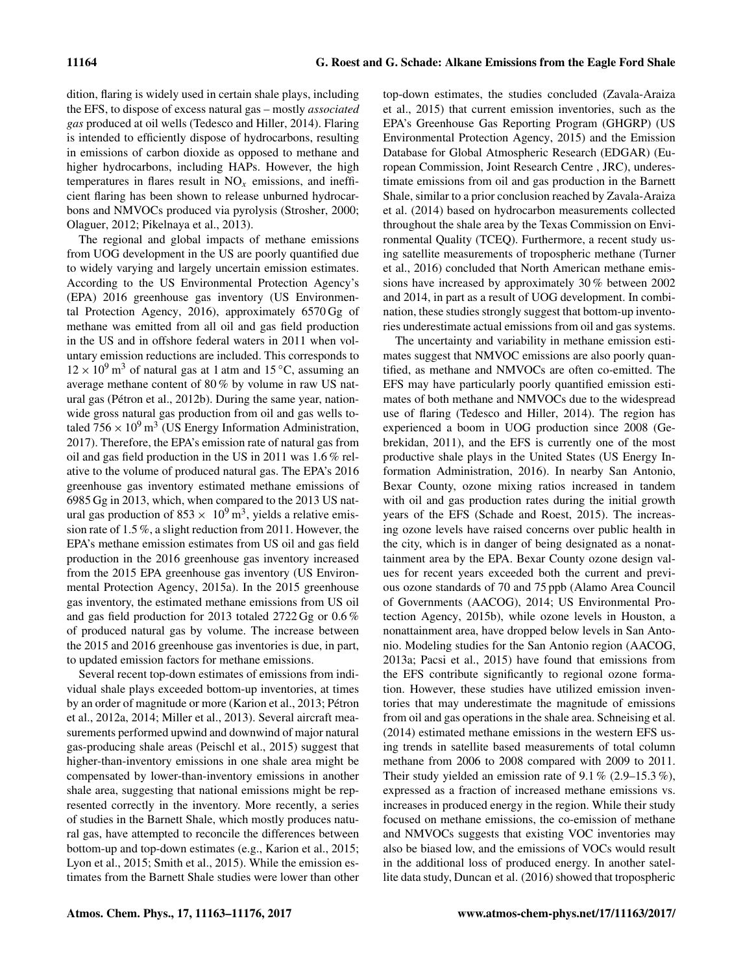dition, flaring is widely used in certain shale plays, including the EFS, to dispose of excess natural gas – mostly *associated gas* produced at oil wells [\(Tedesco and Hiller,](#page-13-1) [2014\)](#page-13-1). Flaring is intended to efficiently dispose of hydrocarbons, resulting in emissions of carbon dioxide as opposed to methane and higher hydrocarbons, including HAPs. However, the high temperatures in flares result in  $NO<sub>x</sub>$  emissions, and inefficient flaring has been shown to release unburned hydrocarbons and NMVOCs produced via pyrolysis [\(Strosher,](#page-13-2) [2000;](#page-13-2) [Olaguer,](#page-12-0) [2012;](#page-12-0) [Pikelnaya et al.,](#page-12-1) [2013\)](#page-12-1).

The regional and global impacts of methane emissions from UOG development in the US are poorly quantified due to widely varying and largely uncertain emission estimates. According to the US Environmental Protection Agency's (EPA) 2016 greenhouse gas inventory [\(US Environmen](#page-13-3)[tal Protection Agency,](#page-13-3) [2016\)](#page-13-3), approximately 6570 Gg of methane was emitted from all oil and gas field production in the US and in offshore federal waters in 2011 when voluntary emission reductions are included. This corresponds to  $12 \times 10^{9}$  m<sup>3</sup> of natural gas at 1 atm and 15 °C, assuming an average methane content of 80 % by volume in raw US natural gas [\(Pétron et al.,](#page-12-2) [2012b\)](#page-12-2). During the same year, nationwide gross natural gas production from oil and gas wells totaled  $756 \times 10^9$  m<sup>3</sup> [\(US Energy Information Administration,](#page-13-4) [2017\)](#page-13-4). Therefore, the EPA's emission rate of natural gas from oil and gas field production in the US in 2011 was 1.6 % relative to the volume of produced natural gas. The EPA's 2016 greenhouse gas inventory estimated methane emissions of 6985 Gg in 2013, which, when compared to the 2013 US natural gas production of  $853 \times 10^9$  m<sup>3</sup>, yields a relative emission rate of 1.5 %, a slight reduction from 2011. However, the EPA's methane emission estimates from US oil and gas field production in the 2016 greenhouse gas inventory increased from the 2015 EPA greenhouse gas inventory [\(US Environ](#page-13-5)[mental Protection Agency,](#page-13-5) [2015a\)](#page-13-5). In the 2015 greenhouse gas inventory, the estimated methane emissions from US oil and gas field production for 2013 totaled 2722 Gg or 0.6 % of produced natural gas by volume. The increase between the 2015 and 2016 greenhouse gas inventories is due, in part, to updated emission factors for methane emissions.

Several recent top-down estimates of emissions from individual shale plays exceeded bottom-up inventories, at times by an order of magnitude or more [\(Karion et al.,](#page-11-1) [2013;](#page-11-1) [Pétron](#page-12-3) [et al.,](#page-12-3) [2012a,](#page-12-3) [2014;](#page-12-4) [Miller et al.,](#page-12-5) [2013\)](#page-12-5). Several aircraft measurements performed upwind and downwind of major natural gas-producing shale areas [\(Peischl et al.,](#page-12-6) [2015\)](#page-12-6) suggest that higher-than-inventory emissions in one shale area might be compensated by lower-than-inventory emissions in another shale area, suggesting that national emissions might be represented correctly in the inventory. More recently, a series of studies in the Barnett Shale, which mostly produces natural gas, have attempted to reconcile the differences between bottom-up and top-down estimates (e.g., [Karion et al.,](#page-11-2) [2015;](#page-11-2) [Lyon et al.,](#page-12-7) [2015;](#page-12-7) [Smith et al.,](#page-13-6) [2015\)](#page-13-6). While the emission estimates from the Barnett Shale studies were lower than other top-down estimates, the studies concluded [\(Zavala-Araiza](#page-13-7) [et al.,](#page-13-7) [2015\)](#page-13-7) that current emission inventories, such as the EPA's Greenhouse Gas Reporting Program (GHGRP) [\(US](#page-13-8) [Environmental Protection Agency,](#page-13-8) [2015\)](#page-13-8) and the Emission Database for Global Atmospheric Research (EDGAR) [\(Eu](#page-11-3)[ropean Commission, Joint Research Centre](#page-11-3) , [JRC\)](#page-11-3), underestimate emissions from oil and gas production in the Barnett Shale, similar to a prior conclusion reached by [Zavala-Araiza](#page-13-9) [et al.](#page-13-9) [\(2014\)](#page-13-9) based on hydrocarbon measurements collected throughout the shale area by the Texas Commission on Environmental Quality (TCEQ). Furthermore, a recent study using satellite measurements of tropospheric methane [\(Turner](#page-13-10) [et al.,](#page-13-10) [2016\)](#page-13-10) concluded that North American methane emissions have increased by approximately 30 % between 2002 and 2014, in part as a result of UOG development. In combination, these studies strongly suggest that bottom-up inventories underestimate actual emissions from oil and gas systems.

The uncertainty and variability in methane emission estimates suggest that NMVOC emissions are also poorly quantified, as methane and NMVOCs are often co-emitted. The EFS may have particularly poorly quantified emission estimates of both methane and NMVOCs due to the widespread use of flaring [\(Tedesco and Hiller,](#page-13-1) [2014\)](#page-13-1). The region has experienced a boom in UOG production since 2008 [\(Ge](#page-11-4)[brekidan,](#page-11-4) [2011\)](#page-11-4), and the EFS is currently one of the most productive shale plays in the United States [\(US Energy In](#page-13-11)[formation Administration,](#page-13-11) [2016\)](#page-13-11). In nearby San Antonio, Bexar County, ozone mixing ratios increased in tandem with oil and gas production rates during the initial growth years of the EFS [\(Schade and Roest,](#page-12-8) [2015\)](#page-12-8). The increasing ozone levels have raised concerns over public health in the city, which is in danger of being designated as a nonattainment area by the EPA. Bexar County ozone design values for recent years exceeded both the current and previous ozone standards of 70 and 75 ppb (Alamo Area Council of Governments [\(AACOG\)](#page-11-5), [2014;](#page-11-5) [US Environmental Pro](#page-13-12)[tection Agency,](#page-13-12) [2015b\)](#page-13-12), while ozone levels in Houston, a nonattainment area, have dropped below levels in San Antonio. Modeling studies for the San Antonio region [\(AACOG,](#page-11-6) [2013a;](#page-11-6) [Pacsi et al.,](#page-12-9) [2015\)](#page-12-9) have found that emissions from the EFS contribute significantly to regional ozone formation. However, these studies have utilized emission inventories that may underestimate the magnitude of emissions from oil and gas operations in the shale area. [Schneising et al.](#page-13-13) [\(2014\)](#page-13-13) estimated methane emissions in the western EFS using trends in satellite based measurements of total column methane from 2006 to 2008 compared with 2009 to 2011. Their study yielded an emission rate of  $9.1\%$  (2.9–15.3%), expressed as a fraction of increased methane emissions vs. increases in produced energy in the region. While their study focused on methane emissions, the co-emission of methane and NMVOCs suggests that existing VOC inventories may also be biased low, and the emissions of VOCs would result in the additional loss of produced energy. In another satellite data study, [Duncan et al.](#page-11-7) [\(2016\)](#page-11-7) showed that tropospheric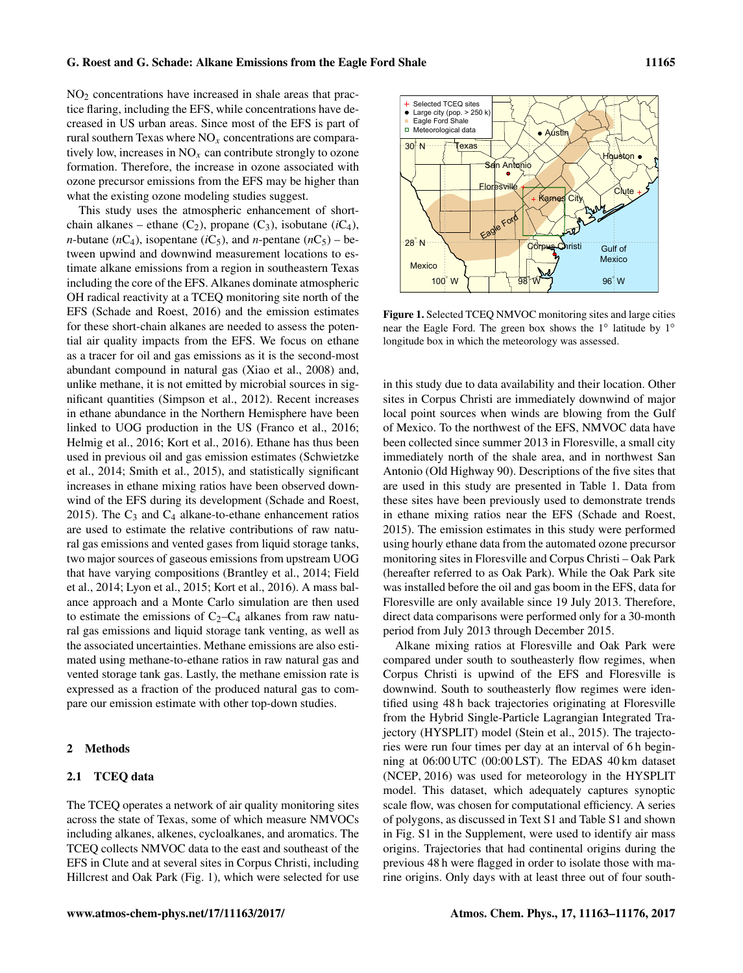$NO<sub>2</sub>$  concentrations have increased in shale areas that practice flaring, including the EFS, while concentrations have decreased in US urban areas. Since most of the EFS is part of rural southern Texas where  $NO<sub>x</sub>$  concentrations are comparatively low, increases in  $NO<sub>x</sub>$  can contribute strongly to ozone formation. Therefore, the increase in ozone associated with ozone precursor emissions from the EFS may be higher than what the existing ozone modeling studies suggest.

This study uses the atmospheric enhancement of shortchain alkanes – ethane  $(C_2)$ , propane  $(C_3)$ , isobutane  $(iC_4)$ , *n*-butane ( $nC_4$ ), isopentane ( $iC_5$ ), and *n*-pentane ( $nC_5$ ) – between upwind and downwind measurement locations to estimate alkane emissions from a region in southeastern Texas including the core of the EFS. Alkanes dominate atmospheric OH radical reactivity at a TCEQ monitoring site north of the EFS [\(Schade and Roest,](#page-12-10) [2016\)](#page-12-10) and the emission estimates for these short-chain alkanes are needed to assess the potential air quality impacts from the EFS. We focus on ethane as a tracer for oil and gas emissions as it is the second-most abundant compound in natural gas [\(Xiao et al.,](#page-13-14) [2008\)](#page-13-14) and, unlike methane, it is not emitted by microbial sources in significant quantities [\(Simpson et al.,](#page-13-15) [2012\)](#page-13-15). Recent increases in ethane abundance in the Northern Hemisphere have been linked to UOG production in the US [\(Franco et al.,](#page-11-8) [2016;](#page-11-8) [Helmig et al.,](#page-11-9) [2016;](#page-11-9) [Kort et al.,](#page-11-10) [2016\)](#page-11-10). Ethane has thus been used in previous oil and gas emission estimates [\(Schwietzke](#page-13-16) [et al.,](#page-13-16) [2014;](#page-13-16) [Smith et al.,](#page-13-6) [2015\)](#page-13-6), and statistically significant increases in ethane mixing ratios have been observed downwind of the EFS during its development [\(Schade and Roest,](#page-12-8) [2015\)](#page-12-8). The  $C_3$  and  $C_4$  alkane-to-ethane enhancement ratios are used to estimate the relative contributions of raw natural gas emissions and vented gases from liquid storage tanks, two major sources of gaseous emissions from upstream UOG that have varying compositions [\(Brantley et al.,](#page-11-11) [2014;](#page-11-11) [Field](#page-11-0) [et al.,](#page-11-0) [2014;](#page-11-0) [Lyon et al.,](#page-12-7) [2015;](#page-12-7) [Kort et al.,](#page-11-10) [2016\)](#page-11-10). A mass balance approach and a Monte Carlo simulation are then used to estimate the emissions of  $C_2-C_4$  alkanes from raw natural gas emissions and liquid storage tank venting, as well as the associated uncertainties. Methane emissions are also estimated using methane-to-ethane ratios in raw natural gas and vented storage tank gas. Lastly, the methane emission rate is expressed as a fraction of the produced natural gas to compare our emission estimate with other top-down studies.

#### 2 Methods

# <span id="page-2-1"></span>2.1 TCEQ data

The TCEQ operates a network of air quality monitoring sites across the state of Texas, some of which measure NMVOCs including alkanes, alkenes, cycloalkanes, and aromatics. The TCEQ collects NMVOC data to the east and southeast of the EFS in Clute and at several sites in Corpus Christi, including Hillcrest and Oak Park (Fig. [1\)](#page-2-0), which were selected for use

<span id="page-2-0"></span>

Figure 1. Selected TCEQ NMVOC monitoring sites and large cities near the Eagle Ford. The green box shows the 1<sup>°</sup> latitude by 1<sup>°</sup> longitude box in which the meteorology was assessed.

in this study due to data availability and their location. Other sites in Corpus Christi are immediately downwind of major local point sources when winds are blowing from the Gulf of Mexico. To the northwest of the EFS, NMVOC data have been collected since summer 2013 in Floresville, a small city immediately north of the shale area, and in northwest San Antonio (Old Highway 90). Descriptions of the five sites that are used in this study are presented in Table [1.](#page-3-0) Data from these sites have been previously used to demonstrate trends in ethane mixing ratios near the EFS [\(Schade and Roest,](#page-12-8) [2015\)](#page-12-8). The emission estimates in this study were performed using hourly ethane data from the automated ozone precursor monitoring sites in Floresville and Corpus Christi – Oak Park (hereafter referred to as Oak Park). While the Oak Park site was installed before the oil and gas boom in the EFS, data for Floresville are only available since 19 July 2013. Therefore, direct data comparisons were performed only for a 30-month period from July 2013 through December 2015.

Alkane mixing ratios at Floresville and Oak Park were compared under south to southeasterly flow regimes, when Corpus Christi is upwind of the EFS and Floresville is downwind. South to southeasterly flow regimes were identified using 48 h back trajectories originating at Floresville from the Hybrid Single-Particle Lagrangian Integrated Trajectory (HYSPLIT) model [\(Stein et al.,](#page-13-17) [2015\)](#page-13-17). The trajectories were run four times per day at an interval of 6 h beginning at 06:00 UTC (00:00 LST). The EDAS 40 km dataset [\(NCEP,](#page-12-11) [2016\)](#page-12-11) was used for meteorology in the HYSPLIT model. This dataset, which adequately captures synoptic scale flow, was chosen for computational efficiency. A series of polygons, as discussed in Text S1 and Table S1 and shown in Fig. S1 in the Supplement, were used to identify air mass origins. Trajectories that had continental origins during the previous 48 h were flagged in order to isolate those with marine origins. Only days with at least three out of four south-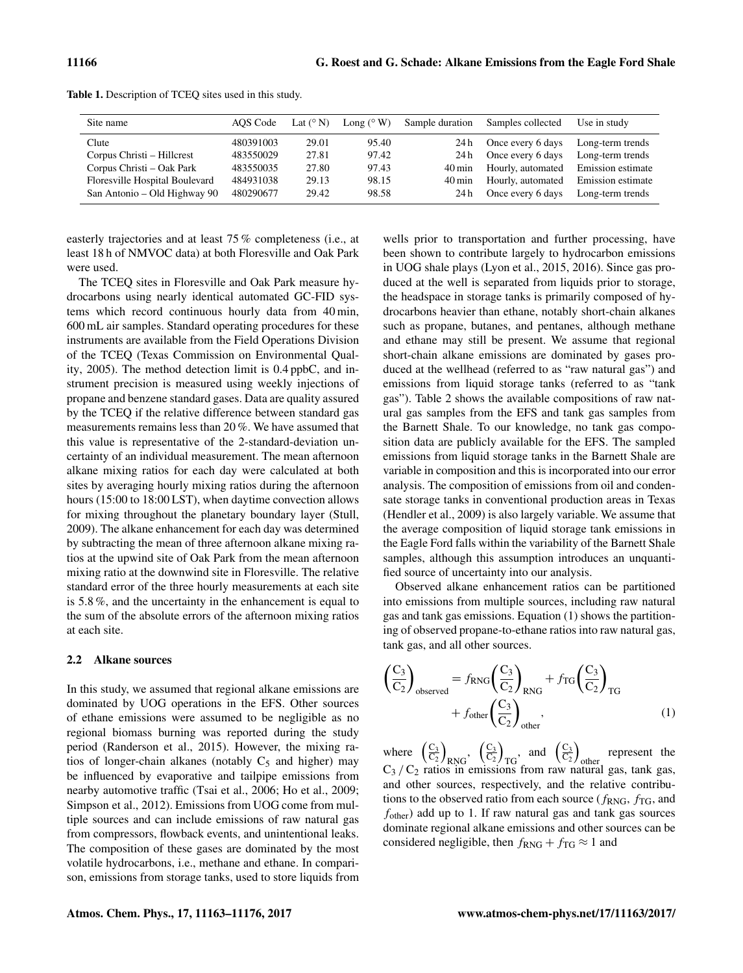| Site name                      | AOS Code  | Lat $(^{\circ}N)$ | Long $(^{\circ}$ W) | Sample duration     | Samples collected                   | Use in study     |
|--------------------------------|-----------|-------------------|---------------------|---------------------|-------------------------------------|------------------|
| Clute                          | 480391003 | 29.01             | 95.40               | 24 h                | Once every 6 days                   | Long-term trends |
| Corpus Christi – Hillcrest     | 483550029 | 27.81             | 97.42               | 24 h                | Once every 6 days                   | Long-term trends |
| Corpus Christi – Oak Park      | 483550035 | 27.80             | 97.43               | $40 \,\mathrm{min}$ | Hourly, automated Emission estimate |                  |
| Floresville Hospital Boulevard | 484931038 | 29.13             | 98.15               | $40 \,\mathrm{min}$ | Hourly, automated Emission estimate |                  |
| San Antonio – Old Highway 90   | 480290677 | 29.42             | 98.58               | 24 h                | Once every 6 days                   | Long-term trends |

<span id="page-3-0"></span>Table 1. Description of TCEQ sites used in this study.

easterly trajectories and at least 75 % completeness (i.e., at least 18 h of NMVOC data) at both Floresville and Oak Park were used.

The TCEQ sites in Floresville and Oak Park measure hydrocarbons using nearly identical automated GC-FID systems which record continuous hourly data from 40 min, 600 mL air samples. Standard operating procedures for these instruments are available from the Field Operations Division of the TCEQ [\(Texas Commission on Environmental Qual](#page-13-18)[ity,](#page-13-18) [2005\)](#page-13-18). The method detection limit is 0.4 ppbC, and instrument precision is measured using weekly injections of propane and benzene standard gases. Data are quality assured by the TCEQ if the relative difference between standard gas measurements remains less than 20 %. We have assumed that this value is representative of the 2-standard-deviation uncertainty of an individual measurement. The mean afternoon alkane mixing ratios for each day were calculated at both sites by averaging hourly mixing ratios during the afternoon hours (15:00 to 18:00 LST), when daytime convection allows for mixing throughout the planetary boundary layer [\(Stull,](#page-13-19) [2009\)](#page-13-19). The alkane enhancement for each day was determined by subtracting the mean of three afternoon alkane mixing ratios at the upwind site of Oak Park from the mean afternoon mixing ratio at the downwind site in Floresville. The relative standard error of the three hourly measurements at each site is 5.8 %, and the uncertainty in the enhancement is equal to the sum of the absolute errors of the afternoon mixing ratios at each site.

#### 2.2 Alkane sources

In this study, we assumed that regional alkane emissions are dominated by UOG operations in the EFS. Other sources of ethane emissions were assumed to be negligible as no regional biomass burning was reported during the study period [\(Randerson et al.,](#page-12-12) [2015\)](#page-12-12). However, the mixing ratios of longer-chain alkanes (notably  $C_5$  and higher) may be influenced by evaporative and tailpipe emissions from nearby automotive traffic [\(Tsai et al.,](#page-13-20) [2006;](#page-13-20) [Ho et al.,](#page-11-12) [2009;](#page-11-12) [Simpson et al.,](#page-13-15) [2012\)](#page-13-15). Emissions from UOG come from multiple sources and can include emissions of raw natural gas from compressors, flowback events, and unintentional leaks. The composition of these gases are dominated by the most volatile hydrocarbons, i.e., methane and ethane. In comparison, emissions from storage tanks, used to store liquids from

wells prior to transportation and further processing, have been shown to contribute largely to hydrocarbon emissions in UOG shale plays [\(Lyon et al.,](#page-12-7) [2015,](#page-12-7) [2016\)](#page-12-13). Since gas produced at the well is separated from liquids prior to storage, the headspace in storage tanks is primarily composed of hydrocarbons heavier than ethane, notably short-chain alkanes such as propane, butanes, and pentanes, although methane and ethane may still be present. We assume that regional short-chain alkane emissions are dominated by gases produced at the wellhead (referred to as "raw natural gas") and emissions from liquid storage tanks (referred to as "tank gas"). Table [2](#page-4-0) shows the available compositions of raw natural gas samples from the EFS and tank gas samples from the Barnett Shale. To our knowledge, no tank gas composition data are publicly available for the EFS. The sampled emissions from liquid storage tanks in the Barnett Shale are variable in composition and this is incorporated into our error analysis. The composition of emissions from oil and condensate storage tanks in conventional production areas in Texas [\(Hendler et al.,](#page-11-13) [2009\)](#page-11-13) is also largely variable. We assume that the average composition of liquid storage tank emissions in the Eagle Ford falls within the variability of the Barnett Shale samples, although this assumption introduces an unquantified source of uncertainty into our analysis.

Observed alkane enhancement ratios can be partitioned into emissions from multiple sources, including raw natural gas and tank gas emissions. Equation [\(1\)](#page-3-1) shows the partitioning of observed propane-to-ethane ratios into raw natural gas, tank gas, and all other sources.

<span id="page-3-1"></span>
$$
\left(\frac{C_3}{C_2}\right)_{\text{observed}} = f_{\text{RNG}} \left(\frac{C_3}{C_2}\right)_{\text{RNG}} + f_{\text{TG}} \left(\frac{C_3}{C_2}\right)_{\text{TG}} + f_{\text{other}} \left(\frac{C_3}{C_2}\right)_{\text{other}},
$$
\n(1)

where  $\left(\frac{C_3}{C_2}\right)$  $\frac{\text{C}_3}{\text{C}_2}$  $_{\rm RNG}$ ,  $\left(\frac{\rm C_3}{\rm C_2}\right)$  $\frac{C_3}{C_2}$  $_{\rm TG}$ , and  $\left(\frac{\rm C_3}{\rm C_2}\right)$  $\frac{C_3}{C_2}$ represent the  $C_3 / C_2$  ratios in emissions from raw natural gas, tank gas, and other sources, respectively, and the relative contributions to the observed ratio from each source ( $f_{RNG}$ ,  $f_{TG}$ , and  $f_{other}$ ) add up to 1. If raw natural gas and tank gas sources dominate regional alkane emissions and other sources can be considered negligible, then  $f_{\text{RNG}} + f_{\text{TG}} \approx 1$  and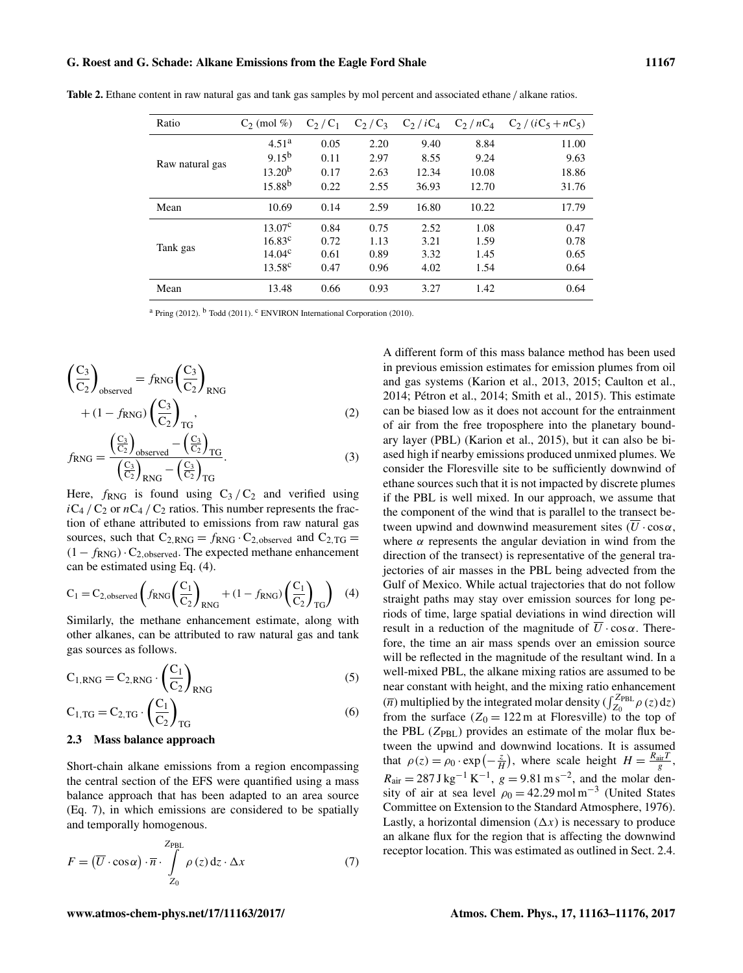### G. Roest and G. Schade: Alkane Emissions from the Eagle Ford Shale 11167

| Ratio           | $C_2$ (mol %)      | $C_2/C_1$ | $C_2/C_3$ | $C_2/iC_4$ |       | $C_2/nC_4$ $C_2/(iC_5+nC_5)$ |
|-----------------|--------------------|-----------|-----------|------------|-------|------------------------------|
| Raw natural gas | 4.51 <sup>a</sup>  | 0.05      | 2.20      | 9.40       | 8.84  | 11.00                        |
|                 | $9.15^{b}$         | 0.11      | 2.97      | 8.55       | 9.24  | 9.63                         |
|                 | 13.20 <sup>b</sup> | 0.17      | 2.63      | 12.34      | 10.08 | 18.86                        |
|                 | $15.88^{b}$        | 0.22      | 2.55      | 36.93      | 12.70 | 31.76                        |
| Mean            | 10.69              | 0.14      | 2.59      | 16.80      | 10.22 | 17.79                        |
| Tank gas        | 13.07 <sup>c</sup> | 0.84      | 0.75      | 2.52       | 1.08  | 0.47                         |
|                 | $16.83^c$          | 0.72      | 1.13      | 3.21       | 1.59  | 0.78                         |
|                 | $14.04^{\circ}$    | 0.61      | 0.89      | 3.32       | 1.45  | 0.65                         |
|                 | $13.58^{\circ}$    | 0.47      | 0.96      | 4.02       | 1.54  | 0.64                         |
| Mean            | 13.48              | 0.66      | 0.93      | 3.27       | 1.42  | 0.64                         |

<span id="page-4-0"></span>Table 2. Ethane content in raw natural gas and tank gas samples by mol percent and associated ethane / alkane ratios.

<sup>a</sup> [Pring](#page-12-14) [\(2012\)](#page-12-14). <sup>b</sup> [Todd](#page-13-21) [\(2011\)](#page-13-21). <sup>c</sup> [ENVIRON International Corporation](#page-11-14) [\(2010\)](#page-11-14).

$$
\left(\frac{C_3}{C_2}\right)_{observed} = f_{RNG}\left(\frac{C_3}{C_2}\right)_{RNG}
$$

$$
+ (1 - f_{RNG})\left(\frac{C_3}{C_2}\right)_{TG},
$$

$$
(C_3)
$$

$$
f_{\rm RNG} = \frac{\left(\frac{C_3}{C_2}\right)_{\rm observed} - \left(\frac{C_3}{C_2}\right)_{\rm TG}}{\left(\frac{C_3}{C_2}\right)_{\rm RNG} - \left(\frac{C_3}{C_2}\right)_{\rm TG}}.
$$
 (3)

Here,  $f_{RNG}$  is found using  $C_3 / C_2$  and verified using  $iC_4 / C_2$  or  $nC_4 / C_2$  ratios. This number represents the fraction of ethane attributed to emissions from raw natural gas sources, such that  $C_{2, RNG} = f_{RNG} \cdot C_{2, observed}$  and  $C_{2, TG} =$  $(1 - f_{RNG}) \cdot C_{2,observed}$ . The expected methane enhancement can be estimated using Eq. [\(4\)](#page-4-1).

<span id="page-4-1"></span>
$$
C_1 = C_{2,observed} \left( f_{RNG} \left( \frac{C_1}{C_2} \right)_{RNG} + (1 - f_{RNG}) \left( \frac{C_1}{C_2} \right)_{TG} \right) \tag{4}
$$

Similarly, the methane enhancement estimate, along with other alkanes, can be attributed to raw natural gas and tank gas sources as follows.

$$
C_{1, RNG} = C_{2, RNG} \cdot \left(\frac{C_1}{C_2}\right)_{RNG}
$$
\n
$$
C_{1, TG} = C_{2, TG} \cdot \left(\frac{C_1}{C_2}\right)_{TG}
$$
\n(6)

#### 2.3 Mass balance approach

Short-chain alkane emissions from a region encompassing the central section of the EFS were quantified using a mass balance approach that has been adapted to an area source (Eq. [7\)](#page-4-2), in which emissions are considered to be spatially and temporally homogenous.

<span id="page-4-2"></span>
$$
F = (\overline{U} \cdot \cos \alpha) \cdot \overline{n} \cdot \int_{Z_0}^{Z_{\text{PBL}}} \rho(z) dz \cdot \Delta x \tag{7}
$$

A different form of this mass balance method has been used in previous emission estimates for emission plumes from oil and gas systems [\(Karion et al.,](#page-11-1) [2013,](#page-11-1) [2015;](#page-11-2) [Caulton et al.,](#page-11-15) [2014;](#page-11-15) [Pétron et al.,](#page-12-4) [2014;](#page-12-4) [Smith et al.,](#page-13-6) [2015\)](#page-13-6). This estimate can be biased low as it does not account for the entrainment of air from the free troposphere into the planetary boundary layer (PBL) [\(Karion et al.,](#page-11-2) [2015\)](#page-11-2), but it can also be biased high if nearby emissions produced unmixed plumes. We consider the Floresville site to be sufficiently downwind of ethane sources such that it is not impacted by discrete plumes if the PBL is well mixed. In our approach, we assume that the component of the wind that is parallel to the transect between upwind and downwind measurement sites  $(\overline{U} \cdot \cos \alpha,$ where  $\alpha$  represents the angular deviation in wind from the direction of the transect) is representative of the general trajectories of air masses in the PBL being advected from the Gulf of Mexico. While actual trajectories that do not follow straight paths may stay over emission sources for long periods of time, large spatial deviations in wind direction will result in a reduction of the magnitude of  $\overline{U} \cdot \cos \alpha$ . Therefore, the time an air mass spends over an emission source will be reflected in the magnitude of the resultant wind. In a well-mixed PBL, the alkane mixing ratios are assumed to be near constant with height, and the mixing ratio enhancement  $\overline{n}$ ) multiplied by the integrated molar density  $(\int_{Z_0}^{Z_{\text{PBL}}} \rho(z) dz)$ from the surface  $(Z_0 = 122 \text{ m}$  at Floresville) to the top of the PBL  $(Z_{\text{PBL}})$  provides an estimate of the molar flux between the upwind and downwind locations. It is assumed that  $\rho(z) = \rho_0 \cdot \exp\left(-\frac{z}{H}\right)$ , where scale height  $H = \frac{R_{\text{air}}T}{g}$ ,  $R_{\text{air}} = 287 \text{ J kg}^{-1} \text{ K}^{-1}$ ,  $g = 9.81 \text{ m s}^{-2}$ , and the molar density of air at sea level  $\rho_0 = 42.29 \,\text{mol m}^{-3}$  [\(United States](#page-13-22) [Committee on Extension to the Standard Atmosphere,](#page-13-22) [1976\)](#page-13-22). Lastly, a horizontal dimension  $(\Delta x)$  is necessary to produce an alkane flux for the region that is affecting the downwind receptor location. This was estimated as outlined in Sect. [2.4.](#page-5-0)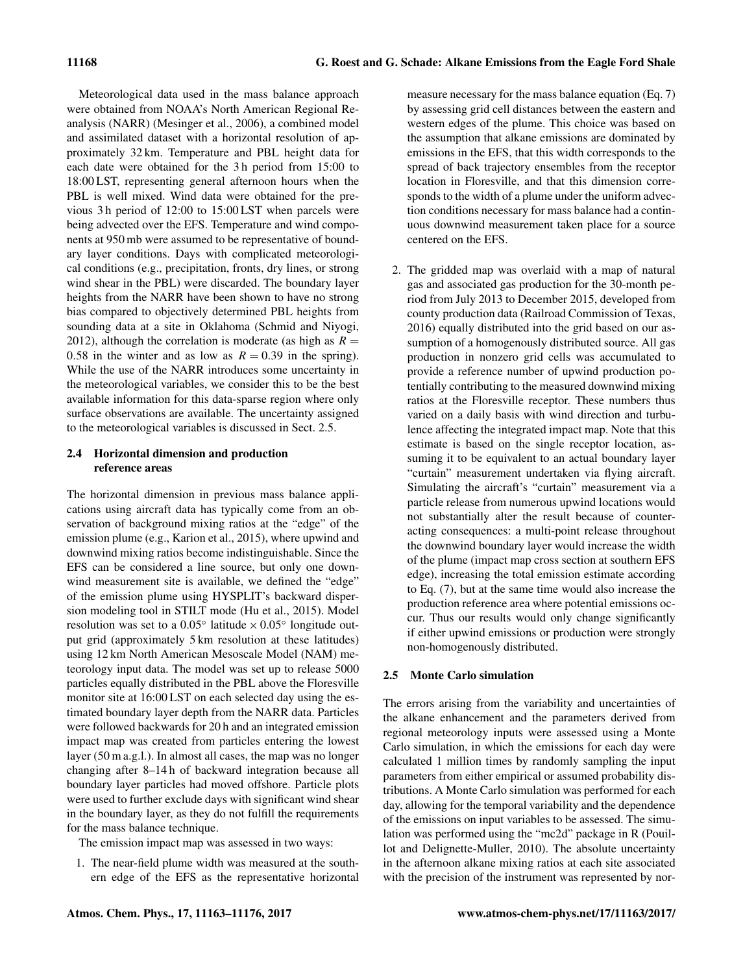Meteorological data used in the mass balance approach were obtained from NOAA's North American Regional Reanalysis (NARR) [\(Mesinger et al.,](#page-12-15) [2006\)](#page-12-15), a combined model and assimilated dataset with a horizontal resolution of approximately 32 km. Temperature and PBL height data for each date were obtained for the 3 h period from 15:00 to 18:00 LST, representing general afternoon hours when the PBL is well mixed. Wind data were obtained for the previous 3 h period of 12:00 to 15:00 LST when parcels were being advected over the EFS. Temperature and wind components at 950 mb were assumed to be representative of boundary layer conditions. Days with complicated meteorological conditions (e.g., precipitation, fronts, dry lines, or strong wind shear in the PBL) were discarded. The boundary layer heights from the NARR have been shown to have no strong bias compared to objectively determined PBL heights from sounding data at a site in Oklahoma [\(Schmid and Niyogi,](#page-12-16) [2012\)](#page-12-16), although the correlation is moderate (as high as  $R =$ 0.58 in the winter and as low as  $R = 0.39$  in the spring). While the use of the NARR introduces some uncertainty in the meteorological variables, we consider this to be the best available information for this data-sparse region where only surface observations are available. The uncertainty assigned to the meteorological variables is discussed in Sect. [2.5.](#page-5-1)

# <span id="page-5-0"></span>2.4 Horizontal dimension and production reference areas

The horizontal dimension in previous mass balance applications using aircraft data has typically come from an observation of background mixing ratios at the "edge" of the emission plume (e.g., [Karion et al.,](#page-11-2) [2015\)](#page-11-2), where upwind and downwind mixing ratios become indistinguishable. Since the EFS can be considered a line source, but only one downwind measurement site is available, we defined the "edge" of the emission plume using HYSPLIT's backward dispersion modeling tool in STILT mode [\(Hu et al.,](#page-11-16) [2015\)](#page-11-16). Model resolution was set to a  $0.05^{\circ}$  latitude  $\times 0.05^{\circ}$  longitude output grid (approximately 5 km resolution at these latitudes) using 12 km North American Mesoscale Model (NAM) meteorology input data. The model was set up to release 5000 particles equally distributed in the PBL above the Floresville monitor site at 16:00 LST on each selected day using the estimated boundary layer depth from the NARR data. Particles were followed backwards for 20 h and an integrated emission impact map was created from particles entering the lowest layer (50 m a.g.l.). In almost all cases, the map was no longer changing after 8–14 h of backward integration because all boundary layer particles had moved offshore. Particle plots were used to further exclude days with significant wind shear in the boundary layer, as they do not fulfill the requirements for the mass balance technique.

The emission impact map was assessed in two ways:

1. The near-field plume width was measured at the southern edge of the EFS as the representative horizontal measure necessary for the mass balance equation (Eq. [7\)](#page-4-2) by assessing grid cell distances between the eastern and western edges of the plume. This choice was based on the assumption that alkane emissions are dominated by emissions in the EFS, that this width corresponds to the spread of back trajectory ensembles from the receptor location in Floresville, and that this dimension corresponds to the width of a plume under the uniform advection conditions necessary for mass balance had a continuous downwind measurement taken place for a source centered on the EFS.

2. The gridded map was overlaid with a map of natural gas and associated gas production for the 30-month period from July 2013 to December 2015, developed from county production data [\(Railroad Commission of Texas,](#page-12-17) [2016\)](#page-12-17) equally distributed into the grid based on our assumption of a homogenously distributed source. All gas production in nonzero grid cells was accumulated to provide a reference number of upwind production potentially contributing to the measured downwind mixing ratios at the Floresville receptor. These numbers thus varied on a daily basis with wind direction and turbulence affecting the integrated impact map. Note that this estimate is based on the single receptor location, assuming it to be equivalent to an actual boundary layer "curtain" measurement undertaken via flying aircraft. Simulating the aircraft's "curtain" measurement via a particle release from numerous upwind locations would not substantially alter the result because of counteracting consequences: a multi-point release throughout the downwind boundary layer would increase the width of the plume (impact map cross section at southern EFS edge), increasing the total emission estimate according to Eq. [\(7\)](#page-4-2), but at the same time would also increase the production reference area where potential emissions occur. Thus our results would only change significantly if either upwind emissions or production were strongly non-homogenously distributed.

# <span id="page-5-1"></span>2.5 Monte Carlo simulation

The errors arising from the variability and uncertainties of the alkane enhancement and the parameters derived from regional meteorology inputs were assessed using a Monte Carlo simulation, in which the emissions for each day were calculated 1 million times by randomly sampling the input parameters from either empirical or assumed probability distributions. A Monte Carlo simulation was performed for each day, allowing for the temporal variability and the dependence of the emissions on input variables to be assessed. The simulation was performed using the "mc2d" package in R [\(Pouil](#page-12-18)[lot and Delignette-Muller,](#page-12-18) [2010\)](#page-12-18). The absolute uncertainty in the afternoon alkane mixing ratios at each site associated with the precision of the instrument was represented by nor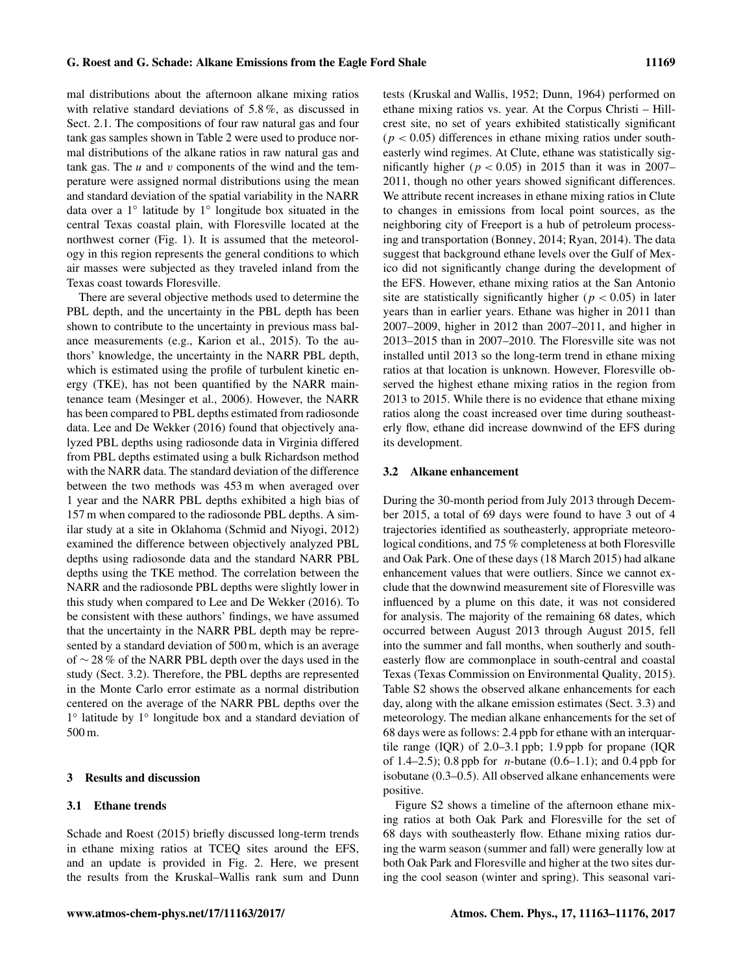mal distributions about the afternoon alkane mixing ratios with relative standard deviations of 5.8 %, as discussed in Sect. [2.1.](#page-2-1) The compositions of four raw natural gas and four tank gas samples shown in Table [2](#page-4-0) were used to produce normal distributions of the alkane ratios in raw natural gas and tank gas. The  $u$  and  $v$  components of the wind and the temperature were assigned normal distributions using the mean and standard deviation of the spatial variability in the NARR data over a 1◦ latitude by 1◦ longitude box situated in the central Texas coastal plain, with Floresville located at the northwest corner (Fig. [1\)](#page-2-0). It is assumed that the meteorology in this region represents the general conditions to which air masses were subjected as they traveled inland from the Texas coast towards Floresville.

There are several objective methods used to determine the PBL depth, and the uncertainty in the PBL depth has been shown to contribute to the uncertainty in previous mass balance measurements (e.g., [Karion et al.,](#page-11-2) [2015\)](#page-11-2). To the authors' knowledge, the uncertainty in the NARR PBL depth, which is estimated using the profile of turbulent kinetic energy (TKE), has not been quantified by the NARR maintenance team [\(Mesinger et al.,](#page-12-15) [2006\)](#page-12-15). However, the NARR has been compared to PBL depths estimated from radiosonde data. [Lee and De Wekker](#page-11-17) [\(2016\)](#page-11-17) found that objectively analyzed PBL depths using radiosonde data in Virginia differed from PBL depths estimated using a bulk Richardson method with the NARR data. The standard deviation of the difference between the two methods was 453 m when averaged over 1 year and the NARR PBL depths exhibited a high bias of 157 m when compared to the radiosonde PBL depths. A similar study at a site in Oklahoma [\(Schmid and Niyogi,](#page-12-16) [2012\)](#page-12-16) examined the difference between objectively analyzed PBL depths using radiosonde data and the standard NARR PBL depths using the TKE method. The correlation between the NARR and the radiosonde PBL depths were slightly lower in this study when compared to [Lee and De Wekker](#page-11-17) [\(2016\)](#page-11-17). To be consistent with these authors' findings, we have assumed that the uncertainty in the NARR PBL depth may be represented by a standard deviation of 500 m, which is an average of ∼ 28 % of the NARR PBL depth over the days used in the study (Sect. [3.2\)](#page-6-0). Therefore, the PBL depths are represented in the Monte Carlo error estimate as a normal distribution centered on the average of the NARR PBL depths over the 1 ◦ latitude by 1◦ longitude box and a standard deviation of 500 m.

### 3 Results and discussion

# 3.1 Ethane trends

[Schade and Roest](#page-12-8) [\(2015\)](#page-12-8) briefly discussed long-term trends in ethane mixing ratios at TCEQ sites around the EFS, and an update is provided in Fig. [2.](#page-7-0) Here, we present the results from the Kruskal–Wallis rank sum and Dunn tests [\(Kruskal and Wallis,](#page-11-18) [1952;](#page-11-18) [Dunn,](#page-11-19) [1964\)](#page-11-19) performed on ethane mixing ratios vs. year. At the Corpus Christi – Hillcrest site, no set of years exhibited statistically significant  $(p < 0.05)$  differences in ethane mixing ratios under southeasterly wind regimes. At Clute, ethane was statistically significantly higher ( $p < 0.05$ ) in 2015 than it was in 2007– 2011, though no other years showed significant differences. We attribute recent increases in ethane mixing ratios in Clute to changes in emissions from local point sources, as the neighboring city of Freeport is a hub of petroleum processing and transportation [\(Bonney,](#page-11-20) [2014;](#page-11-20) [Ryan,](#page-12-19) [2014\)](#page-12-19). The data suggest that background ethane levels over the Gulf of Mexico did not significantly change during the development of the EFS. However, ethane mixing ratios at the San Antonio site are statistically significantly higher ( $p < 0.05$ ) in later years than in earlier years. Ethane was higher in 2011 than 2007–2009, higher in 2012 than 2007–2011, and higher in 2013–2015 than in 2007–2010. The Floresville site was not installed until 2013 so the long-term trend in ethane mixing ratios at that location is unknown. However, Floresville observed the highest ethane mixing ratios in the region from 2013 to 2015. While there is no evidence that ethane mixing ratios along the coast increased over time during southeasterly flow, ethane did increase downwind of the EFS during its development.

#### <span id="page-6-0"></span>3.2 Alkane enhancement

During the 30-month period from July 2013 through December 2015, a total of 69 days were found to have 3 out of 4 trajectories identified as southeasterly, appropriate meteorological conditions, and 75 % completeness at both Floresville and Oak Park. One of these days (18 March 2015) had alkane enhancement values that were outliers. Since we cannot exclude that the downwind measurement site of Floresville was influenced by a plume on this date, it was not considered for analysis. The majority of the remaining 68 dates, which occurred between August 2013 through August 2015, fell into the summer and fall months, when southerly and southeasterly flow are commonplace in south-central and coastal Texas [\(Texas Commission on Environmental Quality,](#page-13-23) [2015\)](#page-13-23). Table S2 shows the observed alkane enhancements for each day, along with the alkane emission estimates (Sect. [3.3\)](#page-7-1) and meteorology. The median alkane enhancements for the set of 68 days were as follows: 2.4 ppb for ethane with an interquartile range (IQR) of 2.0–3.1 ppb; 1.9 ppb for propane (IQR of 1.4–2.5); 0.8 ppb for *n*-butane (0.6–1.1); and 0.4 ppb for isobutane (0.3–0.5). All observed alkane enhancements were positive.

Figure S2 shows a timeline of the afternoon ethane mixing ratios at both Oak Park and Floresville for the set of 68 days with southeasterly flow. Ethane mixing ratios during the warm season (summer and fall) were generally low at both Oak Park and Floresville and higher at the two sites during the cool season (winter and spring). This seasonal vari-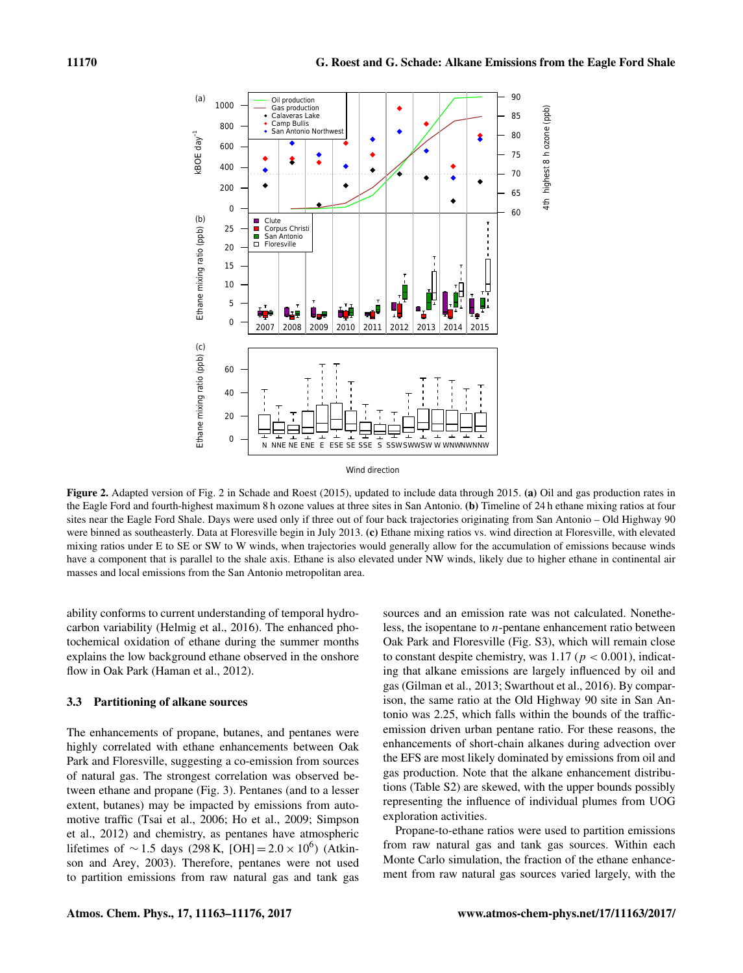<span id="page-7-0"></span>

Wind direction

Figure 2. Adapted version of Fig. 2 in [Schade and Roest](#page-12-8) [\(2015\)](#page-12-8), updated to include data through 2015. (a) Oil and gas production rates in the Eagle Ford and fourth-highest maximum 8 h ozone values at three sites in San Antonio. (b) Timeline of 24 h ethane mixing ratios at four sites near the Eagle Ford Shale. Days were used only if three out of four back trajectories originating from San Antonio – Old Highway 90 were binned as southeasterly. Data at Floresville begin in July 2013. (c) Ethane mixing ratios vs. wind direction at Floresville, with elevated mixing ratios under E to SE or SW to W winds, when trajectories would generally allow for the accumulation of emissions because winds have a component that is parallel to the shale axis. Ethane is also elevated under NW winds, likely due to higher ethane in continental air masses and local emissions from the San Antonio metropolitan area.

ability conforms to current understanding of temporal hydrocarbon variability [\(Helmig et al.,](#page-11-9) [2016\)](#page-11-9). The enhanced photochemical oxidation of ethane during the summer months explains the low background ethane observed in the onshore flow in Oak Park [\(Haman et al.,](#page-11-21) [2012\)](#page-11-21).

# <span id="page-7-1"></span>3.3 Partitioning of alkane sources

The enhancements of propane, butanes, and pentanes were highly correlated with ethane enhancements between Oak Park and Floresville, suggesting a co-emission from sources of natural gas. The strongest correlation was observed between ethane and propane (Fig. [3\)](#page-8-0). Pentanes (and to a lesser extent, butanes) may be impacted by emissions from automotive traffic [\(Tsai et al.,](#page-13-20) [2006;](#page-13-20) [Ho et al.,](#page-11-12) [2009;](#page-11-12) [Simpson](#page-13-15) [et al.,](#page-13-15) [2012\)](#page-13-15) and chemistry, as pentanes have atmospheric lifetimes of  $\sim$  1.5 days (298 K, [OH] = 2.0 × 10<sup>6</sup>) [\(Atkin](#page-11-22)[son and Arey,](#page-11-22) [2003\)](#page-11-22). Therefore, pentanes were not used to partition emissions from raw natural gas and tank gas

sources and an emission rate was not calculated. Nonetheless, the isopentane to n-pentane enhancement ratio between Oak Park and Floresville (Fig. S3), which will remain close to constant despite chemistry, was 1.17 ( $p < 0.001$ ), indicating that alkane emissions are largely influenced by oil and gas [\(Gilman et al.,](#page-11-23) [2013;](#page-11-23) [Swarthout et al.,](#page-13-24) [2016\)](#page-13-24). By comparison, the same ratio at the Old Highway 90 site in San Antonio was 2.25, which falls within the bounds of the trafficemission driven urban pentane ratio. For these reasons, the enhancements of short-chain alkanes during advection over the EFS are most likely dominated by emissions from oil and gas production. Note that the alkane enhancement distributions (Table S2) are skewed, with the upper bounds possibly representing the influence of individual plumes from UOG exploration activities.

Propane-to-ethane ratios were used to partition emissions from raw natural gas and tank gas sources. Within each Monte Carlo simulation, the fraction of the ethane enhancement from raw natural gas sources varied largely, with the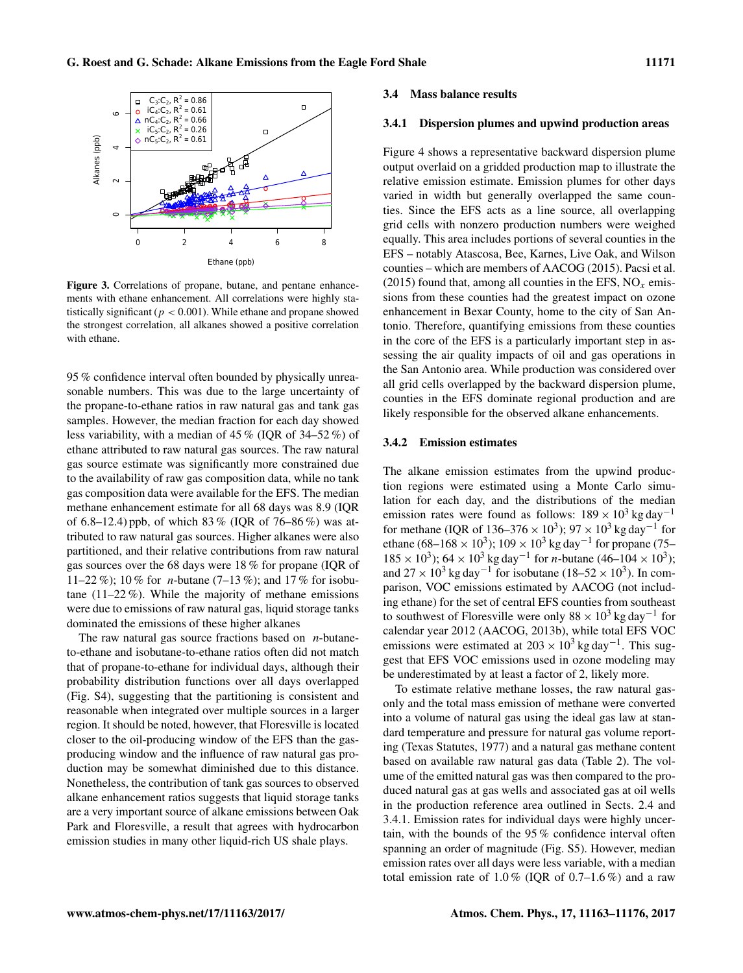<span id="page-8-0"></span>

Figure 3. Correlations of propane, butane, and pentane enhancements with ethane enhancement. All correlations were highly statistically significant ( $p < 0.001$ ). While ethane and propane showed the strongest correlation, all alkanes showed a positive correlation with ethane.

95 % confidence interval often bounded by physically unreasonable numbers. This was due to the large uncertainty of the propane-to-ethane ratios in raw natural gas and tank gas samples. However, the median fraction for each day showed less variability, with a median of 45 % (IQR of 34–52 %) of ethane attributed to raw natural gas sources. The raw natural gas source estimate was significantly more constrained due to the availability of raw gas composition data, while no tank gas composition data were available for the EFS. The median methane enhancement estimate for all 68 days was 8.9 (IQR of 6.8–12.4) ppb, of which 83 % (IQR of 76–86 %) was attributed to raw natural gas sources. Higher alkanes were also partitioned, and their relative contributions from raw natural gas sources over the 68 days were 18 % for propane (IQR of 11–22 %); 10 % for *n*-butane (7–13 %); and 17 % for isobutane (11–22 %). While the majority of methane emissions were due to emissions of raw natural gas, liquid storage tanks dominated the emissions of these higher alkanes

The raw natural gas source fractions based on *n*-butaneto-ethane and isobutane-to-ethane ratios often did not match that of propane-to-ethane for individual days, although their probability distribution functions over all days overlapped (Fig. S4), suggesting that the partitioning is consistent and reasonable when integrated over multiple sources in a larger region. It should be noted, however, that Floresville is located closer to the oil-producing window of the EFS than the gasproducing window and the influence of raw natural gas production may be somewhat diminished due to this distance. Nonetheless, the contribution of tank gas sources to observed alkane enhancement ratios suggests that liquid storage tanks are a very important source of alkane emissions between Oak Park and Floresville, a result that agrees with hydrocarbon emission studies in many other liquid-rich US shale plays.

#### 3.4 Mass balance results

#### <span id="page-8-1"></span>3.4.1 Dispersion plumes and upwind production areas

Figure [4](#page-9-0) shows a representative backward dispersion plume output overlaid on a gridded production map to illustrate the relative emission estimate. Emission plumes for other days varied in width but generally overlapped the same counties. Since the EFS acts as a line source, all overlapping grid cells with nonzero production numbers were weighed equally. This area includes portions of several counties in the EFS – notably Atascosa, Bee, Karnes, Live Oak, and Wilson counties – which are members of [AACOG](#page-11-24) [\(2015\)](#page-11-24). [Pacsi et al.](#page-12-9) [\(2015\)](#page-12-9) found that, among all counties in the EFS,  $NO<sub>x</sub>$  emissions from these counties had the greatest impact on ozone enhancement in Bexar County, home to the city of San Antonio. Therefore, quantifying emissions from these counties in the core of the EFS is a particularly important step in assessing the air quality impacts of oil and gas operations in the San Antonio area. While production was considered over all grid cells overlapped by the backward dispersion plume, counties in the EFS dominate regional production and are likely responsible for the observed alkane enhancements.

# 3.4.2 Emission estimates

The alkane emission estimates from the upwind production regions were estimated using a Monte Carlo simulation for each day, and the distributions of the median emission rates were found as follows:  $189 \times 10^3$  kg day<sup>-1</sup> for methane (IQR of 136–376 ×  $10^3$ ); 97 ×  $10^3$  kg day<sup>-1</sup> for ethane (68–168 × 10<sup>3</sup>); 109 × 10<sup>3</sup> kg day<sup>-1</sup> for propane (75–  $185 \times 10^3$ );  $64 \times 10^3$  kg day<sup>-1</sup> for *n*-butane  $(46-104 \times 10^3)$ ; and  $27 \times 10^3$  kg day<sup>-1</sup> for isobutane (18–52 × 10<sup>3</sup>). In comparison, VOC emissions estimated by AACOG (not including ethane) for the set of central EFS counties from southeast to southwest of Floresville were only  $88 \times 10^3$  kg day<sup>-1</sup> for calendar year 2012 [\(AACOG,](#page-11-25) [2013b\)](#page-11-25), while total EFS VOC emissions were estimated at  $203 \times 10^3$  kg day<sup>-1</sup>. This suggest that EFS VOC emissions used in ozone modeling may be underestimated by at least a factor of 2, likely more.

To estimate relative methane losses, the raw natural gasonly and the total mass emission of methane were converted into a volume of natural gas using the ideal gas law at standard temperature and pressure for natural gas volume reporting [\(Texas Statutes,](#page-13-25) [1977\)](#page-13-25) and a natural gas methane content based on available raw natural gas data (Table [2\)](#page-4-0). The volume of the emitted natural gas was then compared to the produced natural gas at gas wells and associated gas at oil wells in the production reference area outlined in Sects. [2.4](#page-5-0) and [3.4.1.](#page-8-1) Emission rates for individual days were highly uncertain, with the bounds of the 95 % confidence interval often spanning an order of magnitude (Fig. S5). However, median emission rates over all days were less variable, with a median total emission rate of  $1.0\%$  (IQR of 0.7–1.6%) and a raw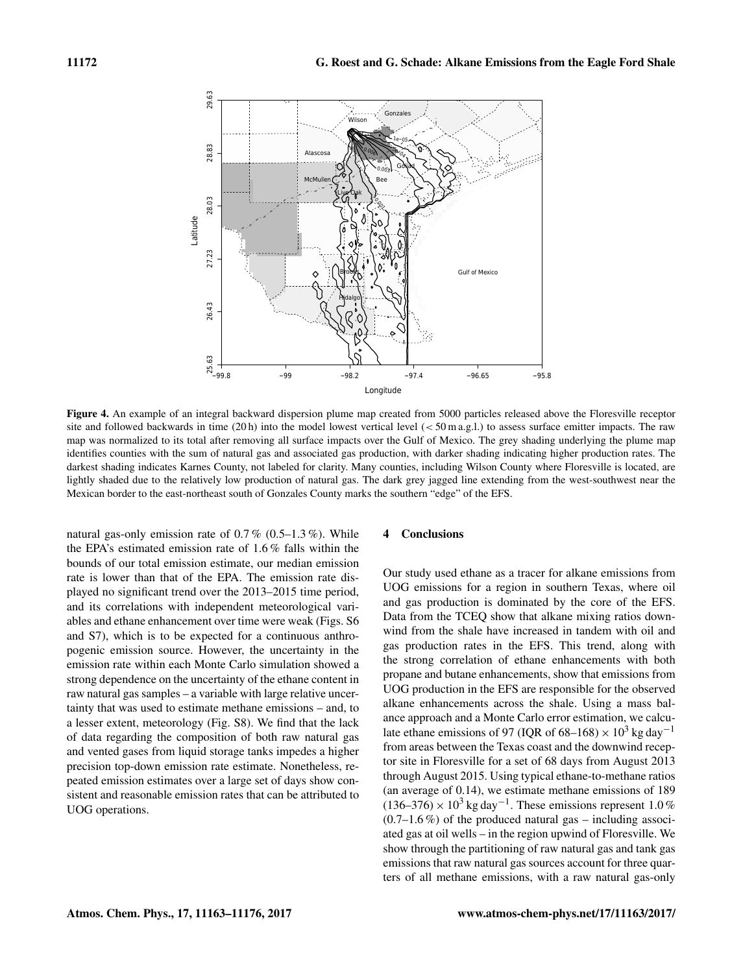<span id="page-9-0"></span>

Figure 4. An example of an integral backward dispersion plume map created from 5000 particles released above the Floresville receptor site and followed backwards in time (20 h) into the model lowest vertical level (< 50 m a.g.l.) to assess surface emitter impacts. The raw map was normalized to its total after removing all surface impacts over the Gulf of Mexico. The grey shading underlying the plume map identifies counties with the sum of natural gas and associated gas production, with darker shading indicating higher production rates. The darkest shading indicates Karnes County, not labeled for clarity. Many counties, including Wilson County where Floresville is located, are lightly shaded due to the relatively low production of natural gas. The dark grey jagged line extending from the west-southwest near the Mexican border to the east-northeast south of Gonzales County marks the southern "edge" of the EFS.

natural gas-only emission rate of  $0.7\%$   $(0.5-1.3\%)$ . While the EPA's estimated emission rate of 1.6 % falls within the bounds of our total emission estimate, our median emission rate is lower than that of the EPA. The emission rate displayed no significant trend over the 2013–2015 time period, and its correlations with independent meteorological variables and ethane enhancement over time were weak (Figs. S6 and S7), which is to be expected for a continuous anthropogenic emission source. However, the uncertainty in the emission rate within each Monte Carlo simulation showed a strong dependence on the uncertainty of the ethane content in raw natural gas samples – a variable with large relative uncertainty that was used to estimate methane emissions – and, to a lesser extent, meteorology (Fig. S8). We find that the lack of data regarding the composition of both raw natural gas and vented gases from liquid storage tanks impedes a higher precision top-down emission rate estimate. Nonetheless, repeated emission estimates over a large set of days show consistent and reasonable emission rates that can be attributed to UOG operations.

### 4 Conclusions

Our study used ethane as a tracer for alkane emissions from UOG emissions for a region in southern Texas, where oil and gas production is dominated by the core of the EFS. Data from the TCEQ show that alkane mixing ratios downwind from the shale have increased in tandem with oil and gas production rates in the EFS. This trend, along with the strong correlation of ethane enhancements with both propane and butane enhancements, show that emissions from UOG production in the EFS are responsible for the observed alkane enhancements across the shale. Using a mass balance approach and a Monte Carlo error estimation, we calculate ethane emissions of 97 (IQR of 68–168) ×  $10^3$  kg day<sup>-1</sup> from areas between the Texas coast and the downwind receptor site in Floresville for a set of 68 days from August 2013 through August 2015. Using typical ethane-to-methane ratios (an average of 0.14), we estimate methane emissions of 189  $(136–376) \times 10^3$  kg day<sup>-1</sup>. These emissions represent 1.0%  $(0.7–1.6\%)$  of the produced natural gas – including associated gas at oil wells – in the region upwind of Floresville. We show through the partitioning of raw natural gas and tank gas emissions that raw natural gas sources account for three quarters of all methane emissions, with a raw natural gas-only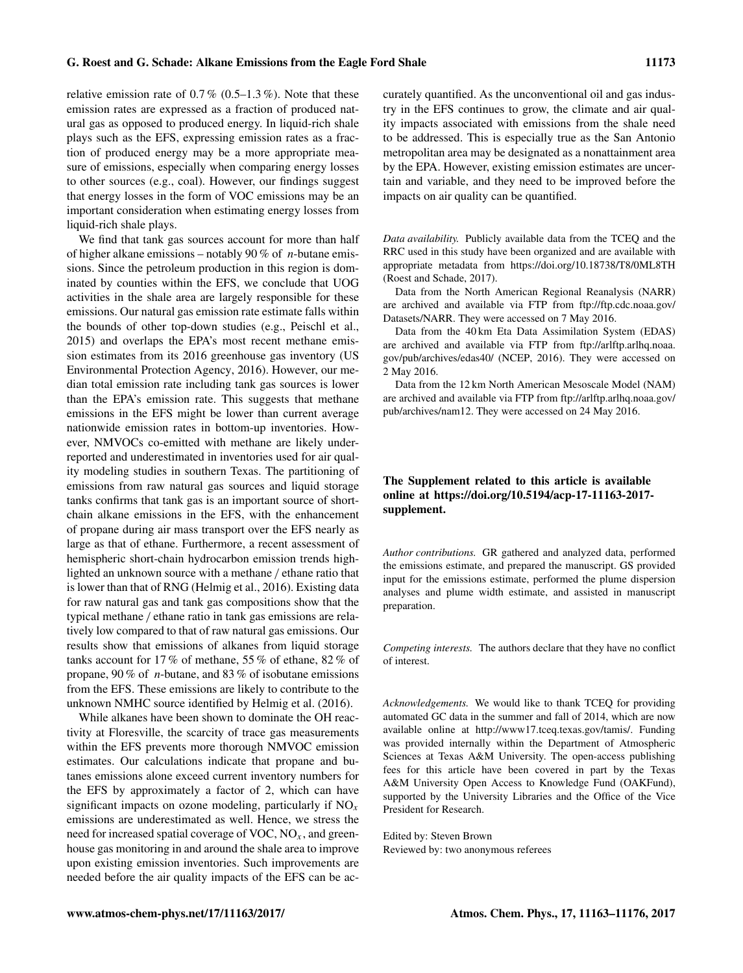relative emission rate of  $0.7\%$   $(0.5-1.3\%)$ . Note that these emission rates are expressed as a fraction of produced natural gas as opposed to produced energy. In liquid-rich shale plays such as the EFS, expressing emission rates as a fraction of produced energy may be a more appropriate measure of emissions, especially when comparing energy losses to other sources (e.g., coal). However, our findings suggest that energy losses in the form of VOC emissions may be an important consideration when estimating energy losses from liquid-rich shale plays.

We find that tank gas sources account for more than half of higher alkane emissions – notably 90 % of *n*-butane emissions. Since the petroleum production in this region is dominated by counties within the EFS, we conclude that UOG activities in the shale area are largely responsible for these emissions. Our natural gas emission rate estimate falls within the bounds of other top-down studies (e.g., [Peischl et al.,](#page-12-6) [2015\)](#page-12-6) and overlaps the EPA's most recent methane emission estimates from its 2016 greenhouse gas inventory [\(US](#page-13-3) [Environmental Protection Agency,](#page-13-3) [2016\)](#page-13-3). However, our median total emission rate including tank gas sources is lower than the EPA's emission rate. This suggests that methane emissions in the EFS might be lower than current average nationwide emission rates in bottom-up inventories. However, NMVOCs co-emitted with methane are likely underreported and underestimated in inventories used for air quality modeling studies in southern Texas. The partitioning of emissions from raw natural gas sources and liquid storage tanks confirms that tank gas is an important source of shortchain alkane emissions in the EFS, with the enhancement of propane during air mass transport over the EFS nearly as large as that of ethane. Furthermore, a recent assessment of hemispheric short-chain hydrocarbon emission trends highlighted an unknown source with a methane / ethane ratio that is lower than that of RNG [\(Helmig et al.,](#page-11-9) [2016\)](#page-11-9). Existing data for raw natural gas and tank gas compositions show that the typical methane / ethane ratio in tank gas emissions are relatively low compared to that of raw natural gas emissions. Our results show that emissions of alkanes from liquid storage tanks account for 17 % of methane, 55 % of ethane, 82 % of propane, 90 % of *n*-butane, and 83 % of isobutane emissions from the EFS. These emissions are likely to contribute to the unknown NMHC source identified by [Helmig et al.](#page-11-9) [\(2016\)](#page-11-9).

While alkanes have been shown to dominate the OH reactivity at Floresville, the scarcity of trace gas measurements within the EFS prevents more thorough NMVOC emission estimates. Our calculations indicate that propane and butanes emissions alone exceed current inventory numbers for the EFS by approximately a factor of 2, which can have significant impacts on ozone modeling, particularly if  $NO<sub>x</sub>$ emissions are underestimated as well. Hence, we stress the need for increased spatial coverage of VOC,  $NO<sub>x</sub>$ , and greenhouse gas monitoring in and around the shale area to improve upon existing emission inventories. Such improvements are needed before the air quality impacts of the EFS can be accurately quantified. As the unconventional oil and gas industry in the EFS continues to grow, the climate and air quality impacts associated with emissions from the shale need to be addressed. This is especially true as the San Antonio metropolitan area may be designated as a nonattainment area by the EPA. However, existing emission estimates are uncertain and variable, and they need to be improved before the impacts on air quality can be quantified.

*Data availability.* Publicly available data from the TCEQ and the RRC used in this study have been organized and are available with appropriate metadata from https://doi.org[/10.18738/T8/0ML8TH](https://doi.org/10.18738/T8/0ML8TH) [\(Roest and Schade,](#page-12-20) [2017\)](#page-12-20).

Data from the North American Regional Reanalysis (NARR) are archived and available via FTP from [ftp://ftp.cdc.noaa.gov/](ftp://ftp.cdc.noaa.gov/Datasets/NARR) [Datasets/NARR.](ftp://ftp.cdc.noaa.gov/Datasets/NARR) They were accessed on 7 May 2016.

Data from the 40 km Eta Data Assimilation System (EDAS) are archived and available via FTP from [ftp://arlftp.arlhq.noaa.](ftp://arlftp.arlhq.noaa.gov/pub/archives/edas40/) [gov/pub/archives/edas40/](ftp://arlftp.arlhq.noaa.gov/pub/archives/edas40/) [\(NCEP,](#page-12-11) [2016\)](#page-12-11). They were accessed on 2 May 2016.

Data from the 12 km North American Mesoscale Model (NAM) are archived and available via FTP from [ftp://arlftp.arlhq.noaa.gov/](ftp://arlftp.arlhq.noaa.gov/pub/archives/nam12) [pub/archives/nam12.](ftp://arlftp.arlhq.noaa.gov/pub/archives/nam12) They were accessed on 24 May 2016.

# The Supplement related to this article is available online at [https://doi.org/10.5194/acp-17-11163-2017](https://doi.org/10.5194/acp-17-11163-2017-supplement) [supplement.](https://doi.org/10.5194/acp-17-11163-2017-supplement)

*Author contributions.* GR gathered and analyzed data, performed the emissions estimate, and prepared the manuscript. GS provided input for the emissions estimate, performed the plume dispersion analyses and plume width estimate, and assisted in manuscript preparation.

*Competing interests.* The authors declare that they have no conflict of interest.

*Acknowledgements.* We would like to thank TCEQ for providing automated GC data in the summer and fall of 2014, which are now available online at [http://www17.tceq.texas.gov/tamis/.](http://www17.tceq.texas.gov/tamis/) Funding was provided internally within the Department of Atmospheric Sciences at Texas A&M University. The open-access publishing fees for this article have been covered in part by the Texas A&M University Open Access to Knowledge Fund (OAKFund), supported by the University Libraries and the Office of the Vice President for Research.

Edited by: Steven Brown Reviewed by: two anonymous referees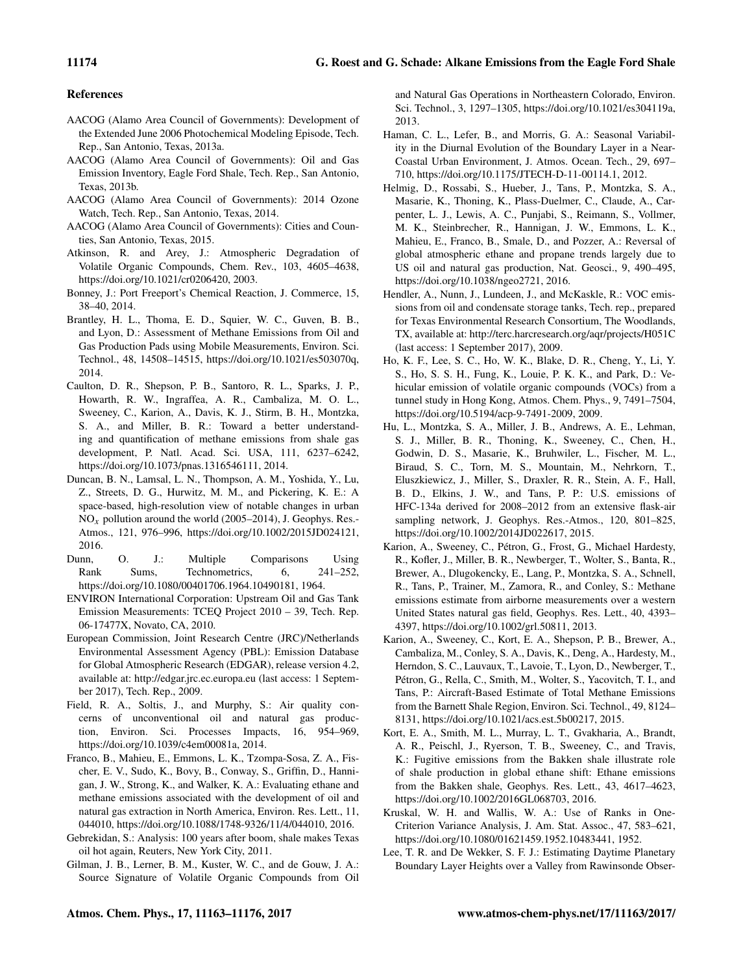# References

- <span id="page-11-6"></span>AACOG (Alamo Area Council of Governments): Development of the Extended June 2006 Photochemical Modeling Episode, Tech. Rep., San Antonio, Texas, 2013a.
- <span id="page-11-25"></span>AACOG (Alamo Area Council of Governments): Oil and Gas Emission Inventory, Eagle Ford Shale, Tech. Rep., San Antonio, Texas, 2013b.
- <span id="page-11-5"></span>AACOG (Alamo Area Council of Governments): 2014 Ozone Watch, Tech. Rep., San Antonio, Texas, 2014.
- <span id="page-11-24"></span>AACOG (Alamo Area Council of Governments): Cities and Counties, San Antonio, Texas, 2015.
- <span id="page-11-22"></span>Atkinson, R. and Arey, J.: Atmospheric Degradation of Volatile Organic Compounds, Chem. Rev., 103, 4605–4638, https://doi.org[/10.1021/cr0206420,](https://doi.org/10.1021/cr0206420) 2003.
- <span id="page-11-20"></span>Bonney, J.: Port Freeport's Chemical Reaction, J. Commerce, 15, 38–40, 2014.
- <span id="page-11-11"></span>Brantley, H. L., Thoma, E. D., Squier, W. C., Guven, B. B., and Lyon, D.: Assessment of Methane Emissions from Oil and Gas Production Pads using Mobile Measurements, Environ. Sci. Technol., 48, 14508–14515, https://doi.org[/10.1021/es503070q,](https://doi.org/10.1021/es503070q) 2014.
- <span id="page-11-15"></span>Caulton, D. R., Shepson, P. B., Santoro, R. L., Sparks, J. P., Howarth, R. W., Ingraffea, A. R., Cambaliza, M. O. L., Sweeney, C., Karion, A., Davis, K. J., Stirm, B. H., Montzka, S. A., and Miller, B. R.: Toward a better understanding and quantification of methane emissions from shale gas development, P. Natl. Acad. Sci. USA, 111, 6237–6242, https://doi.org[/10.1073/pnas.1316546111,](https://doi.org/10.1073/pnas.1316546111) 2014.
- <span id="page-11-7"></span>Duncan, B. N., Lamsal, L. N., Thompson, A. M., Yoshida, Y., Lu, Z., Streets, D. G., Hurwitz, M. M., and Pickering, K. E.: A space-based, high-resolution view of notable changes in urban  $NO<sub>x</sub>$  pollution around the world (2005–2014), J. Geophys. Res.-Atmos., 121, 976–996, https://doi.org[/10.1002/2015JD024121,](https://doi.org/10.1002/2015JD024121) 2016.
- <span id="page-11-19"></span>Dunn, O. J.: Multiple Comparisons Using Rank Sums, Technometrics, 6, 241–252, https://doi.org[/10.1080/00401706.1964.10490181,](https://doi.org/10.1080/00401706.1964.10490181) 1964.
- <span id="page-11-14"></span>ENVIRON International Corporation: Upstream Oil and Gas Tank Emission Measurements: TCEQ Project 2010 – 39, Tech. Rep. 06-17477X, Novato, CA, 2010.
- <span id="page-11-3"></span>European Commission, Joint Research Centre (JRC)/Netherlands Environmental Assessment Agency (PBL): Emission Database for Global Atmospheric Research (EDGAR), release version 4.2, available at: <http://edgar.jrc.ec.europa.eu> (last access: 1 September 2017), Tech. Rep., 2009.
- <span id="page-11-0"></span>Field, R. A., Soltis, J., and Murphy, S.: Air quality concerns of unconventional oil and natural gas production, Environ. Sci. Processes Impacts, 16, 954–969, https://doi.org[/10.1039/c4em00081a,](https://doi.org/10.1039/c4em00081a) 2014.
- <span id="page-11-8"></span>Franco, B., Mahieu, E., Emmons, L. K., Tzompa-Sosa, Z. A., Fischer, E. V., Sudo, K., Bovy, B., Conway, S., Griffin, D., Hannigan, J. W., Strong, K., and Walker, K. A.: Evaluating ethane and methane emissions associated with the development of oil and natural gas extraction in North America, Environ. Res. Lett., 11, 044010, https://doi.org[/10.1088/1748-9326/11/4/044010,](https://doi.org/10.1088/1748-9326/11/4/044010) 2016.
- <span id="page-11-4"></span>Gebrekidan, S.: Analysis: 100 years after boom, shale makes Texas oil hot again, Reuters, New York City, 2011.
- <span id="page-11-23"></span>Gilman, J. B., Lerner, B. M., Kuster, W. C., and de Gouw, J. A.: Source Signature of Volatile Organic Compounds from Oil

and Natural Gas Operations in Northeastern Colorado, Environ. Sci. Technol., 3, 1297–1305, https://doi.org[/10.1021/es304119a,](https://doi.org/10.1021/es304119a) 2013.

- <span id="page-11-21"></span>Haman, C. L., Lefer, B., and Morris, G. A.: Seasonal Variability in the Diurnal Evolution of the Boundary Layer in a Near-Coastal Urban Environment, J. Atmos. Ocean. Tech., 29, 697– 710, https://doi.org[/10.1175/JTECH-D-11-00114.1,](https://doi.org/10.1175/JTECH-D-11-00114.1) 2012.
- <span id="page-11-9"></span>Helmig, D., Rossabi, S., Hueber, J., Tans, P., Montzka, S. A., Masarie, K., Thoning, K., Plass-Duelmer, C., Claude, A., Carpenter, L. J., Lewis, A. C., Punjabi, S., Reimann, S., Vollmer, M. K., Steinbrecher, R., Hannigan, J. W., Emmons, L. K., Mahieu, E., Franco, B., Smale, D., and Pozzer, A.: Reversal of global atmospheric ethane and propane trends largely due to US oil and natural gas production, Nat. Geosci., 9, 490–495, https://doi.org[/10.1038/ngeo2721,](https://doi.org/10.1038/ngeo2721) 2016.
- <span id="page-11-13"></span>Hendler, A., Nunn, J., Lundeen, J., and McKaskle, R.: VOC emissions from oil and condensate storage tanks, Tech. rep., prepared for Texas Environmental Research Consortium, The Woodlands, TX, available at: <http://terc.harcresearch.org/aqr/projects/H051C> (last access: 1 September 2017), 2009.
- <span id="page-11-12"></span>Ho, K. F., Lee, S. C., Ho, W. K., Blake, D. R., Cheng, Y., Li, Y. S., Ho, S. S. H., Fung, K., Louie, P. K. K., and Park, D.: Vehicular emission of volatile organic compounds (VOCs) from a tunnel study in Hong Kong, Atmos. Chem. Phys., 9, 7491–7504, https://doi.org[/10.5194/acp-9-7491-2009,](https://doi.org/10.5194/acp-9-7491-2009) 2009.
- <span id="page-11-16"></span>Hu, L., Montzka, S. A., Miller, J. B., Andrews, A. E., Lehman, S. J., Miller, B. R., Thoning, K., Sweeney, C., Chen, H., Godwin, D. S., Masarie, K., Bruhwiler, L., Fischer, M. L., Biraud, S. C., Torn, M. S., Mountain, M., Nehrkorn, T., Eluszkiewicz, J., Miller, S., Draxler, R. R., Stein, A. F., Hall, B. D., Elkins, J. W., and Tans, P. P.: U.S. emissions of HFC-134a derived for 2008–2012 from an extensive flask-air sampling network, J. Geophys. Res.-Atmos., 120, 801–825, https://doi.org[/10.1002/2014JD022617,](https://doi.org/10.1002/2014JD022617) 2015.
- <span id="page-11-1"></span>Karion, A., Sweeney, C., Pétron, G., Frost, G., Michael Hardesty, R., Kofler, J., Miller, B. R., Newberger, T., Wolter, S., Banta, R., Brewer, A., Dlugokencky, E., Lang, P., Montzka, S. A., Schnell, R., Tans, P., Trainer, M., Zamora, R., and Conley, S.: Methane emissions estimate from airborne measurements over a western United States natural gas field, Geophys. Res. Lett., 40, 4393– 4397, https://doi.org[/10.1002/grl.50811,](https://doi.org/10.1002/grl.50811) 2013.
- <span id="page-11-2"></span>Karion, A., Sweeney, C., Kort, E. A., Shepson, P. B., Brewer, A., Cambaliza, M., Conley, S. A., Davis, K., Deng, A., Hardesty, M., Herndon, S. C., Lauvaux, T., Lavoie, T., Lyon, D., Newberger, T., Pétron, G., Rella, C., Smith, M., Wolter, S., Yacovitch, T. I., and Tans, P.: Aircraft-Based Estimate of Total Methane Emissions from the Barnett Shale Region, Environ. Sci. Technol., 49, 8124– 8131, https://doi.org[/10.1021/acs.est.5b00217,](https://doi.org/10.1021/acs.est.5b00217) 2015.
- <span id="page-11-10"></span>Kort, E. A., Smith, M. L., Murray, L. T., Gvakharia, A., Brandt, A. R., Peischl, J., Ryerson, T. B., Sweeney, C., and Travis, K.: Fugitive emissions from the Bakken shale illustrate role of shale production in global ethane shift: Ethane emissions from the Bakken shale, Geophys. Res. Lett., 43, 4617–4623, https://doi.org[/10.1002/2016GL068703,](https://doi.org/10.1002/2016GL068703) 2016.
- <span id="page-11-18"></span>Kruskal, W. H. and Wallis, W. A.: Use of Ranks in One-Criterion Variance Analysis, J. Am. Stat. Assoc., 47, 583–621, https://doi.org[/10.1080/01621459.1952.10483441,](https://doi.org/10.1080/01621459.1952.10483441) 1952.
- <span id="page-11-17"></span>Lee, T. R. and De Wekker, S. F. J.: Estimating Daytime Planetary Boundary Layer Heights over a Valley from Rawinsonde Obser-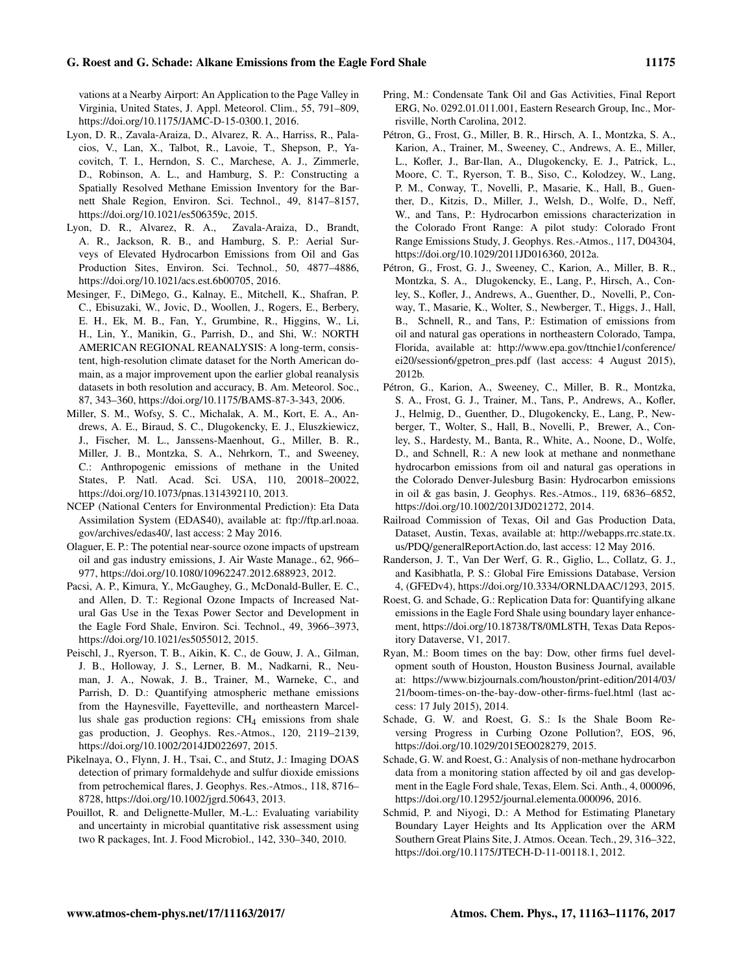#### G. Roest and G. Schade: Alkane Emissions from the Eagle Ford Shale 11175

vations at a Nearby Airport: An Application to the Page Valley in Virginia, United States, J. Appl. Meteorol. Clim., 55, 791–809, https://doi.org[/10.1175/JAMC-D-15-0300.1,](https://doi.org/10.1175/JAMC-D-15-0300.1) 2016.

- <span id="page-12-7"></span>Lyon, D. R., Zavala-Araiza, D., Alvarez, R. A., Harriss, R., Palacios, V., Lan, X., Talbot, R., Lavoie, T., Shepson, P., Yacovitch, T. I., Herndon, S. C., Marchese, A. J., Zimmerle, D., Robinson, A. L., and Hamburg, S. P.: Constructing a Spatially Resolved Methane Emission Inventory for the Barnett Shale Region, Environ. Sci. Technol., 49, 8147–8157, https://doi.org[/10.1021/es506359c,](https://doi.org/10.1021/es506359c) 2015.
- <span id="page-12-13"></span>Lyon, D. R., Alvarez, R. A., Zavala-Araiza, D., Brandt, A. R., Jackson, R. B., and Hamburg, S. P.: Aerial Surveys of Elevated Hydrocarbon Emissions from Oil and Gas Production Sites, Environ. Sci. Technol., 50, 4877–4886, https://doi.org[/10.1021/acs.est.6b00705,](https://doi.org/10.1021/acs.est.6b00705) 2016.
- <span id="page-12-15"></span>Mesinger, F., DiMego, G., Kalnay, E., Mitchell, K., Shafran, P. C., Ebisuzaki, W., Jovic, D., Woollen, J., Rogers, E., Berbery, E. H., Ek, M. B., Fan, Y., Grumbine, R., Higgins, W., Li, H., Lin, Y., Manikin, G., Parrish, D., and Shi, W.: NORTH AMERICAN REGIONAL REANALYSIS: A long-term, consistent, high-resolution climate dataset for the North American domain, as a major improvement upon the earlier global reanalysis datasets in both resolution and accuracy, B. Am. Meteorol. Soc., 87, 343–360, https://doi.org[/10.1175/BAMS-87-3-343,](https://doi.org/10.1175/BAMS-87-3-343) 2006.
- <span id="page-12-5"></span>Miller, S. M., Wofsy, S. C., Michalak, A. M., Kort, E. A., Andrews, A. E., Biraud, S. C., Dlugokencky, E. J., Eluszkiewicz, J., Fischer, M. L., Janssens-Maenhout, G., Miller, B. R., Miller, J. B., Montzka, S. A., Nehrkorn, T., and Sweeney, C.: Anthropogenic emissions of methane in the United States, P. Natl. Acad. Sci. USA, 110, 20018–20022, https://doi.org[/10.1073/pnas.1314392110,](https://doi.org/10.1073/pnas.1314392110) 2013.
- <span id="page-12-11"></span>NCEP (National Centers for Environmental Prediction): Eta Data Assimilation System (EDAS40), available at: [ftp://ftp.arl.noaa.](ftp://ftp.arl.noaa.gov/archives/edas40/) [gov/archives/edas40/,](ftp://ftp.arl.noaa.gov/archives/edas40/) last access: 2 May 2016.
- <span id="page-12-0"></span>Olaguer, E. P.: The potential near-source ozone impacts of upstream oil and gas industry emissions, J. Air Waste Manage., 62, 966– 977, https://doi.org[/10.1080/10962247.2012.688923,](https://doi.org/10.1080/10962247.2012.688923) 2012.
- <span id="page-12-9"></span>Pacsi, A. P., Kimura, Y., McGaughey, G., McDonald-Buller, E. C., and Allen, D. T.: Regional Ozone Impacts of Increased Natural Gas Use in the Texas Power Sector and Development in the Eagle Ford Shale, Environ. Sci. Technol., 49, 3966–3973, https://doi.org[/10.1021/es5055012,](https://doi.org/10.1021/es5055012) 2015.
- <span id="page-12-6"></span>Peischl, J., Ryerson, T. B., Aikin, K. C., de Gouw, J. A., Gilman, J. B., Holloway, J. S., Lerner, B. M., Nadkarni, R., Neuman, J. A., Nowak, J. B., Trainer, M., Warneke, C., and Parrish, D. D.: Quantifying atmospheric methane emissions from the Haynesville, Fayetteville, and northeastern Marcellus shale gas production regions:  $CH<sub>4</sub>$  emissions from shale gas production, J. Geophys. Res.-Atmos., 120, 2119–2139, https://doi.org[/10.1002/2014JD022697,](https://doi.org/10.1002/2014JD022697) 2015.
- <span id="page-12-1"></span>Pikelnaya, O., Flynn, J. H., Tsai, C., and Stutz, J.: Imaging DOAS detection of primary formaldehyde and sulfur dioxide emissions from petrochemical flares, J. Geophys. Res.-Atmos., 118, 8716– 8728, https://doi.org[/10.1002/jgrd.50643,](https://doi.org/10.1002/jgrd.50643) 2013.
- <span id="page-12-18"></span>Pouillot, R. and Delignette-Muller, M.-L.: Evaluating variability and uncertainty in microbial quantitative risk assessment using two R packages, Int. J. Food Microbiol., 142, 330–340, 2010.
- <span id="page-12-14"></span>Pring, M.: Condensate Tank Oil and Gas Activities, Final Report ERG, No. 0292.01.011.001, Eastern Research Group, Inc., Morrisville, North Carolina, 2012.
- <span id="page-12-3"></span>Pétron, G., Frost, G., Miller, B. R., Hirsch, A. I., Montzka, S. A., Karion, A., Trainer, M., Sweeney, C., Andrews, A. E., Miller, L., Kofler, J., Bar-Ilan, A., Dlugokencky, E. J., Patrick, L., Moore, C. T., Ryerson, T. B., Siso, C., Kolodzey, W., Lang, P. M., Conway, T., Novelli, P., Masarie, K., Hall, B., Guenther, D., Kitzis, D., Miller, J., Welsh, D., Wolfe, D., Neff, W., and Tans, P.: Hydrocarbon emissions characterization in the Colorado Front Range: A pilot study: Colorado Front Range Emissions Study, J. Geophys. Res.-Atmos., 117, D04304, https://doi.org[/10.1029/2011JD016360,](https://doi.org/10.1029/2011JD016360) 2012a.
- <span id="page-12-2"></span>Pétron, G., Frost, G. J., Sweeney, C., Karion, A., Miller, B. R., Montzka, S. A., Dlugokencky, E., Lang, P., Hirsch, A., Conley, S., Kofler, J., Andrews, A., Guenther, D., Novelli, P., Conway, T., Masarie, K., Wolter, S., Newberger, T., Higgs, J., Hall, B., Schnell, R., and Tans, P.: Estimation of emissions from oil and natural gas operations in northeastern Colorado, Tampa, Florida, available at: [http://www.epa.gov/ttnchie1/conference/](http://www.epa.gov/ttnchie1/conference/ei20/session6/gpetron_pres.pdf) [ei20/session6/gpetron\\_pres.pdf](http://www.epa.gov/ttnchie1/conference/ei20/session6/gpetron_pres.pdf) (last access: 4 August 2015), 2012b.
- <span id="page-12-4"></span>Pétron, G., Karion, A., Sweeney, C., Miller, B. R., Montzka, S. A., Frost, G. J., Trainer, M., Tans, P., Andrews, A., Kofler, J., Helmig, D., Guenther, D., Dlugokencky, E., Lang, P., Newberger, T., Wolter, S., Hall, B., Novelli, P., Brewer, A., Conley, S., Hardesty, M., Banta, R., White, A., Noone, D., Wolfe, D., and Schnell, R.: A new look at methane and nonmethane hydrocarbon emissions from oil and natural gas operations in the Colorado Denver-Julesburg Basin: Hydrocarbon emissions in oil & gas basin, J. Geophys. Res.-Atmos., 119, 6836–6852, https://doi.org[/10.1002/2013JD021272,](https://doi.org/10.1002/2013JD021272) 2014.
- <span id="page-12-17"></span>Railroad Commission of Texas, Oil and Gas Production Data, Dataset, Austin, Texas, available at: [http://webapps.rrc.state.tx.](http://webapps.rrc.state.tx.us/PDQ/generalReportAction.do) [us/PDQ/generalReportAction.do,](http://webapps.rrc.state.tx.us/PDQ/generalReportAction.do) last access: 12 May 2016.
- <span id="page-12-12"></span>Randerson, J. T., Van Der Werf, G. R., Giglio, L., Collatz, G. J., and Kasibhatla, P. S.: Global Fire Emissions Database, Version 4, (GFEDv4), https://doi.org[/10.3334/ORNLDAAC/1293,](https://doi.org/10.3334/ORNLDAAC/1293) 2015.
- <span id="page-12-20"></span>Roest, G. and Schade, G.: Replication Data for: Quantifying alkane emissions in the Eagle Ford Shale using boundary layer enhancement, https://doi.org[/10.18738/T8/0ML8TH,](https://doi.org/10.18738/T8/0ML8TH) Texas Data Repository Dataverse, V1, 2017.
- <span id="page-12-19"></span>Ryan, M.: Boom times on the bay: Dow, other firms fuel development south of Houston, Houston Business Journal, available at: [https://www.bizjournals.com/houston/print-edition/2014/03/](https://www.bizjournals.com/houston/print-edition/2014/03/21/boom-times-on-the-bay-dow-other-firms-fuel.html) [21/boom-times-on-the-bay-dow-other-firms-fuel.html](https://www.bizjournals.com/houston/print-edition/2014/03/21/boom-times-on-the-bay-dow-other-firms-fuel.html) (last access: 17 July 2015), 2014.
- <span id="page-12-8"></span>Schade, G. W. and Roest, G. S.: Is the Shale Boom Reversing Progress in Curbing Ozone Pollution?, EOS, 96, https://doi.org[/10.1029/2015EO028279,](https://doi.org/10.1029/2015EO028279) 2015.
- <span id="page-12-10"></span>Schade, G. W. and Roest, G.: Analysis of non-methane hydrocarbon data from a monitoring station affected by oil and gas development in the Eagle Ford shale, Texas, Elem. Sci. Anth., 4, 000096, https://doi.org[/10.12952/journal.elementa.000096,](https://doi.org/10.12952/journal.elementa.000096) 2016.
- <span id="page-12-16"></span>Schmid, P. and Niyogi, D.: A Method for Estimating Planetary Boundary Layer Heights and Its Application over the ARM Southern Great Plains Site, J. Atmos. Ocean. Tech., 29, 316–322, https://doi.org[/10.1175/JTECH-D-11-00118.1,](https://doi.org/10.1175/JTECH-D-11-00118.1) 2012.